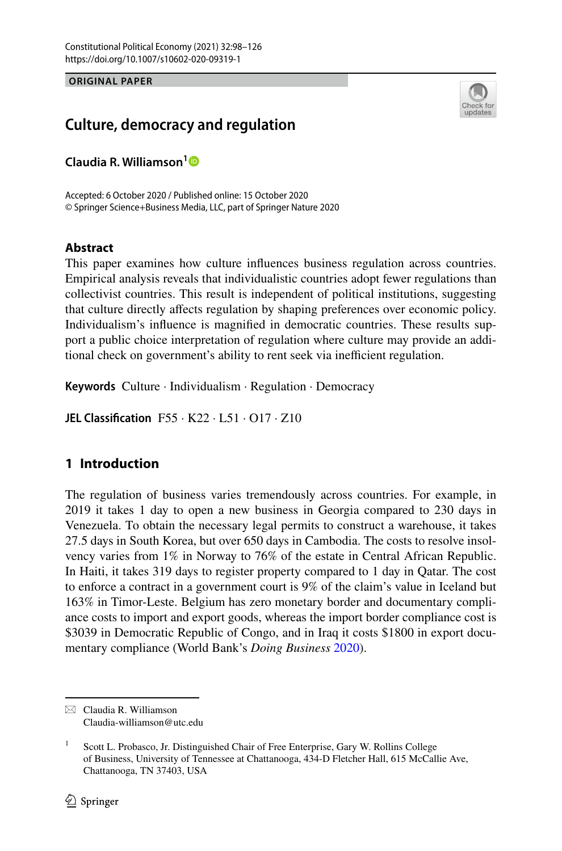**ORIGINAL PAPER**



# **Culture, democracy and regulation**

**Claudia R. Williamson[1](http://orcid.org/0000-0002-4443-7453)**

Accepted: 6 October 2020 / Published online: 15 October 2020 © Springer Science+Business Media, LLC, part of Springer Nature 2020

## **Abstract**

This paper examines how culture infuences business regulation across countries. Empirical analysis reveals that individualistic countries adopt fewer regulations than collectivist countries. This result is independent of political institutions, suggesting that culture directly afects regulation by shaping preferences over economic policy. Individualism's infuence is magnifed in democratic countries. These results support a public choice interpretation of regulation where culture may provide an additional check on government's ability to rent seek via inefficient regulation.

**Keywords** Culture · Individualism · Regulation · Democracy

**JEL Classifcation** F55 · K22 · L51 · O17 · Z10

# **1 Introduction**

The regulation of business varies tremendously across countries. For example, in 2019 it takes 1 day to open a new business in Georgia compared to 230 days in Venezuela. To obtain the necessary legal permits to construct a warehouse, it takes 27.5 days in South Korea, but over 650 days in Cambodia. The costs to resolve insolvency varies from 1% in Norway to 76% of the estate in Central African Republic. In Haiti, it takes 319 days to register property compared to 1 day in Qatar. The cost to enforce a contract in a government court is 9% of the claim's value in Iceland but 163% in Timor-Leste. Belgium has zero monetary border and documentary compliance costs to import and export goods, whereas the import border compliance cost is \$3039 in Democratic Republic of Congo, and in Iraq it costs \$1800 in export documentary compliance (World Bank's *Doing Business* [2020](#page-28-0)).

 $\boxtimes$  Claudia R. Williamson Claudia-williamson@utc.edu

<sup>&</sup>lt;sup>1</sup> Scott L. Probasco, Jr. Distinguished Chair of Free Enterprise, Gary W. Rollins College of Business, University of Tennessee at Chattanooga, 434-D Fletcher Hall, 615 McCallie Ave, Chattanooga, TN 37403, USA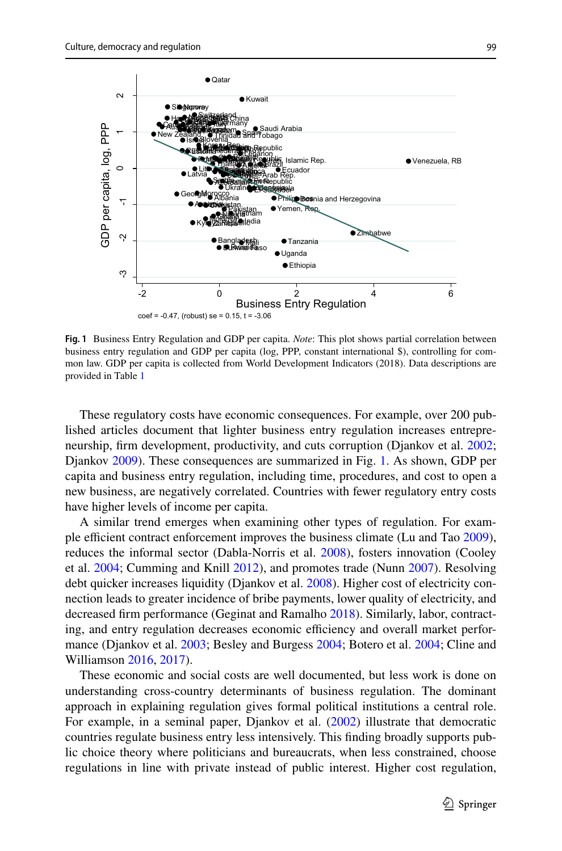

<span id="page-1-0"></span>**Fig. 1** Business Entry Regulation and GDP per capita. *Note*: This plot shows partial correlation between business entry regulation and GDP per capita (log, PPP, constant international \$), controlling for common law. GDP per capita is collected from World Development Indicators (2018). Data descriptions are provided in Table [1](#page-9-0)

These regulatory costs have economic consequences. For example, over 200 published articles document that lighter business entry regulation increases entrepreneurship, frm development, productivity, and cuts corruption (Djankov et al. [2002;](#page-26-0) Djankov [2009\)](#page-26-1). These consequences are summarized in Fig. [1](#page-1-0). As shown, GDP per capita and business entry regulation, including time, procedures, and cost to open a new business, are negatively correlated. Countries with fewer regulatory entry costs have higher levels of income per capita.

A similar trend emerges when examining other types of regulation. For exam-ple efficient contract enforcement improves the business climate (Lu and Tao [2009\)](#page-27-0), reduces the informal sector (Dabla-Norris et al. [2008\)](#page-26-2), fosters innovation (Cooley et al. [2004;](#page-26-3) Cumming and Knill [2012\)](#page-26-4), and promotes trade (Nunn [2007](#page-27-1)). Resolving debt quicker increases liquidity (Djankov et al. [2008\)](#page-26-5). Higher cost of electricity connection leads to greater incidence of bribe payments, lower quality of electricity, and decreased frm performance (Geginat and Ramalho [2018](#page-26-6)). Similarly, labor, contracting, and entry regulation decreases economic efficiency and overall market performance (Djankov et al. [2003](#page-26-7); Besley and Burgess [2004;](#page-26-8) Botero et al. [2004](#page-26-9); Cline and Williamson [2016](#page-26-10), [2017](#page-26-11)).

These economic and social costs are well documented, but less work is done on understanding cross-country determinants of business regulation. The dominant approach in explaining regulation gives formal political institutions a central role. For example, in a seminal paper, Djankov et al. ([2002\)](#page-26-0) illustrate that democratic countries regulate business entry less intensively. This fnding broadly supports public choice theory where politicians and bureaucrats, when less constrained, choose regulations in line with private instead of public interest. Higher cost regulation,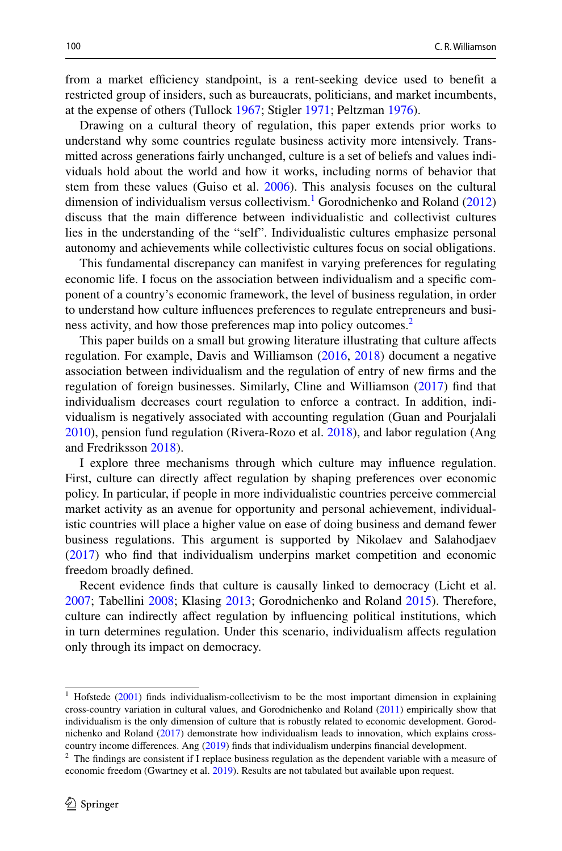from a market efficiency standpoint, is a rent-seeking device used to benefit a restricted group of insiders, such as bureaucrats, politicians, and market incumbents, at the expense of others (Tullock [1967](#page-28-1); Stigler [1971](#page-28-2); Peltzman [1976](#page-27-2)).

Drawing on a cultural theory of regulation, this paper extends prior works to understand why some countries regulate business activity more intensively. Transmitted across generations fairly unchanged, culture is a set of beliefs and values individuals hold about the world and how it works, including norms of behavior that stem from these values (Guiso et al. [2006\)](#page-27-3). This analysis focuses on the cultural dimension of individualism versus collectivism.<sup>[1](#page-2-0)</sup> Gorodnichenko and Roland [\(2012](#page-27-4)) discuss that the main diference between individualistic and collectivist cultures lies in the understanding of the "self". Individualistic cultures emphasize personal autonomy and achievements while collectivistic cultures focus on social obligations.

This fundamental discrepancy can manifest in varying preferences for regulating economic life. I focus on the association between individualism and a specifc component of a country's economic framework, the level of business regulation, in order to understand how culture infuences preferences to regulate entrepreneurs and busi-ness activity, and how those preferences map into policy outcomes.<sup>[2](#page-2-1)</sup>

This paper builds on a small but growing literature illustrating that culture afects regulation. For example, Davis and Williamson ([2016,](#page-26-12) [2018](#page-26-13)) document a negative association between individualism and the regulation of entry of new frms and the regulation of foreign businesses. Similarly, Cline and Williamson [\(2017](#page-26-11)) fnd that individualism decreases court regulation to enforce a contract. In addition, individualism is negatively associated with accounting regulation (Guan and Pourjalali [2010](#page-27-5)), pension fund regulation (Rivera-Rozo et al. [2018\)](#page-27-6), and labor regulation (Ang and Fredriksson [2018\)](#page-26-14).

I explore three mechanisms through which culture may infuence regulation. First, culture can directly afect regulation by shaping preferences over economic policy. In particular, if people in more individualistic countries perceive commercial market activity as an avenue for opportunity and personal achievement, individualistic countries will place a higher value on ease of doing business and demand fewer business regulations. This argument is supported by Nikolaev and Salahodjaev [\(2017](#page-27-7)) who fnd that individualism underpins market competition and economic freedom broadly defned.

Recent evidence fnds that culture is causally linked to democracy (Licht et al. [2007](#page-27-8); Tabellini [2008](#page-28-3); Klasing [2013;](#page-27-9) Gorodnichenko and Roland [2015\)](#page-27-10). Therefore, culture can indirectly afect regulation by infuencing political institutions, which in turn determines regulation. Under this scenario, individualism afects regulation only through its impact on democracy.

<span id="page-2-0"></span><sup>&</sup>lt;sup>1</sup> Hofstede [\(2001](#page-27-11)) finds individualism-collectivism to be the most important dimension in explaining cross-country variation in cultural values, and Gorodnichenko and Roland ([2011\)](#page-26-15) empirically show that individualism is the only dimension of culture that is robustly related to economic development. Gorodnichenko and Roland [\(2017](#page-27-12)) demonstrate how individualism leads to innovation, which explains crosscountry income diferences. Ang ([2019\)](#page-26-16) fnds that individualism underpins fnancial development.

<span id="page-2-1"></span> $2$  The findings are consistent if I replace business regulation as the dependent variable with a measure of economic freedom (Gwartney et al. [2019](#page-27-13)). Results are not tabulated but available upon request.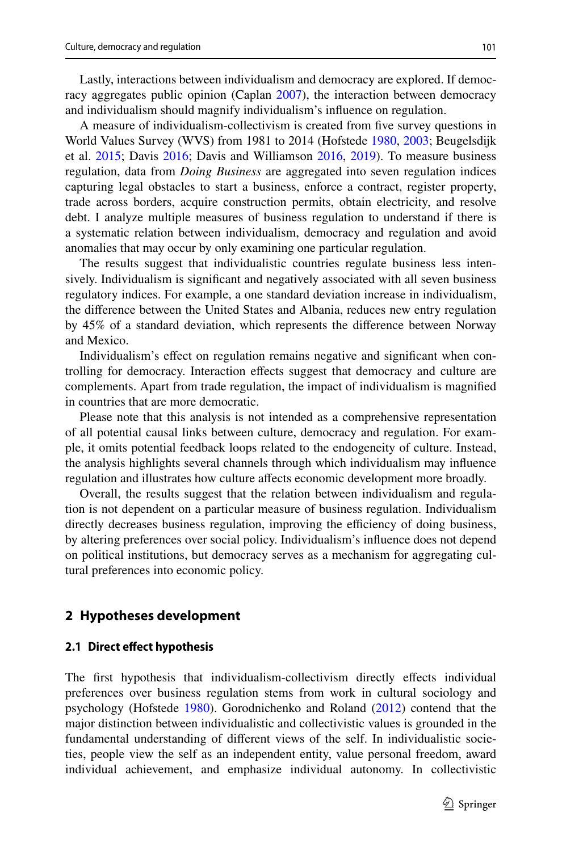Lastly, interactions between individualism and democracy are explored. If democracy aggregates public opinion (Caplan [2007](#page-26-17)), the interaction between democracy and individualism should magnify individualism's infuence on regulation.

A measure of individualism-collectivism is created from fve survey questions in World Values Survey (WVS) from 1981 to 2014 (Hofstede [1980](#page-27-14), [2003;](#page-27-15) Beugelsdijk et al. [2015;](#page-26-18) Davis [2016;](#page-26-19) Davis and Williamson [2016](#page-26-12), [2019](#page-26-20)). To measure business regulation, data from *Doing Business* are aggregated into seven regulation indices capturing legal obstacles to start a business, enforce a contract, register property, trade across borders, acquire construction permits, obtain electricity, and resolve debt. I analyze multiple measures of business regulation to understand if there is a systematic relation between individualism, democracy and regulation and avoid anomalies that may occur by only examining one particular regulation.

The results suggest that individualistic countries regulate business less intensively. Individualism is signifcant and negatively associated with all seven business regulatory indices. For example, a one standard deviation increase in individualism, the diference between the United States and Albania, reduces new entry regulation by 45% of a standard deviation, which represents the diference between Norway and Mexico.

Individualism's efect on regulation remains negative and signifcant when controlling for democracy. Interaction efects suggest that democracy and culture are complements. Apart from trade regulation, the impact of individualism is magnifed in countries that are more democratic.

Please note that this analysis is not intended as a comprehensive representation of all potential causal links between culture, democracy and regulation. For example, it omits potential feedback loops related to the endogeneity of culture. Instead, the analysis highlights several channels through which individualism may infuence regulation and illustrates how culture afects economic development more broadly.

Overall, the results suggest that the relation between individualism and regulation is not dependent on a particular measure of business regulation. Individualism directly decreases business regulation, improving the efficiency of doing business, by altering preferences over social policy. Individualism's infuence does not depend on political institutions, but democracy serves as a mechanism for aggregating cultural preferences into economic policy.

## **2 Hypotheses development**

#### **2.1 Direct efect hypothesis**

The frst hypothesis that individualism-collectivism directly efects individual preferences over business regulation stems from work in cultural sociology and psychology (Hofstede [1980\)](#page-27-14). Gorodnichenko and Roland ([2012\)](#page-27-4) contend that the major distinction between individualistic and collectivistic values is grounded in the fundamental understanding of diferent views of the self. In individualistic societies, people view the self as an independent entity, value personal freedom, award individual achievement, and emphasize individual autonomy. In collectivistic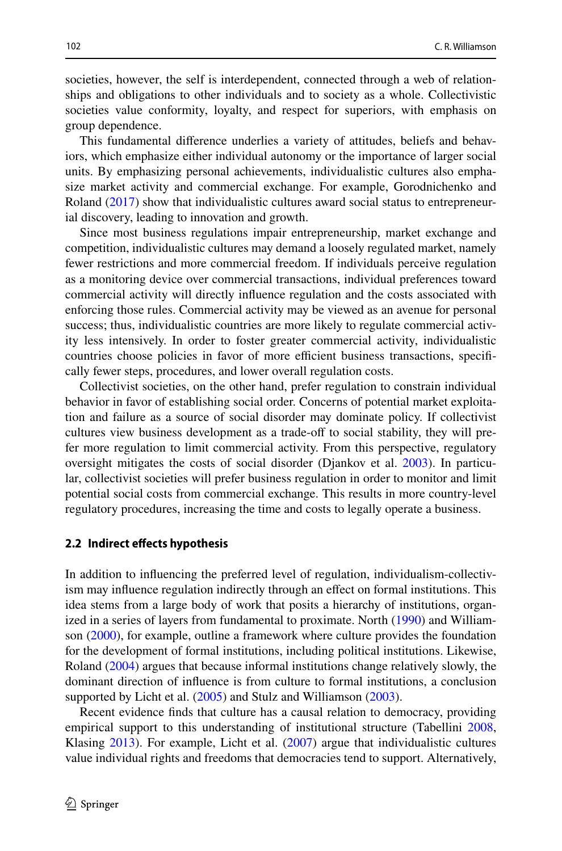societies, however, the self is interdependent, connected through a web of relationships and obligations to other individuals and to society as a whole. Collectivistic societies value conformity, loyalty, and respect for superiors, with emphasis on group dependence.

This fundamental diference underlies a variety of attitudes, beliefs and behaviors, which emphasize either individual autonomy or the importance of larger social units. By emphasizing personal achievements, individualistic cultures also emphasize market activity and commercial exchange. For example, Gorodnichenko and Roland ([2017\)](#page-27-12) show that individualistic cultures award social status to entrepreneurial discovery, leading to innovation and growth.

Since most business regulations impair entrepreneurship, market exchange and competition, individualistic cultures may demand a loosely regulated market, namely fewer restrictions and more commercial freedom. If individuals perceive regulation as a monitoring device over commercial transactions, individual preferences toward commercial activity will directly infuence regulation and the costs associated with enforcing those rules. Commercial activity may be viewed as an avenue for personal success; thus, individualistic countries are more likely to regulate commercial activity less intensively. In order to foster greater commercial activity, individualistic countries choose policies in favor of more efficient business transactions, specifically fewer steps, procedures, and lower overall regulation costs.

Collectivist societies, on the other hand, prefer regulation to constrain individual behavior in favor of establishing social order. Concerns of potential market exploitation and failure as a source of social disorder may dominate policy. If collectivist cultures view business development as a trade-of to social stability, they will prefer more regulation to limit commercial activity. From this perspective, regulatory oversight mitigates the costs of social disorder (Djankov et al. [2003\)](#page-26-7). In particular, collectivist societies will prefer business regulation in order to monitor and limit potential social costs from commercial exchange. This results in more country-level regulatory procedures, increasing the time and costs to legally operate a business.

#### **2.2 Indirect efects hypothesis**

In addition to infuencing the preferred level of regulation, individualism-collectivism may infuence regulation indirectly through an efect on formal institutions. This idea stems from a large body of work that posits a hierarchy of institutions, organized in a series of layers from fundamental to proximate. North [\(1990](#page-27-16)) and Williamson ([2000\)](#page-28-4), for example, outline a framework where culture provides the foundation for the development of formal institutions, including political institutions. Likewise, Roland ([2004\)](#page-27-17) argues that because informal institutions change relatively slowly, the dominant direction of infuence is from culture to formal institutions, a conclusion supported by Licht et al. [\(2005](#page-27-18)) and Stulz and Williamson [\(2003](#page-28-5)).

Recent evidence fnds that culture has a causal relation to democracy, providing empirical support to this understanding of institutional structure (Tabellini [2008,](#page-28-3) Klasing [2013\)](#page-27-9). For example, Licht et al. ([2007\)](#page-27-8) argue that individualistic cultures value individual rights and freedoms that democracies tend to support. Alternatively,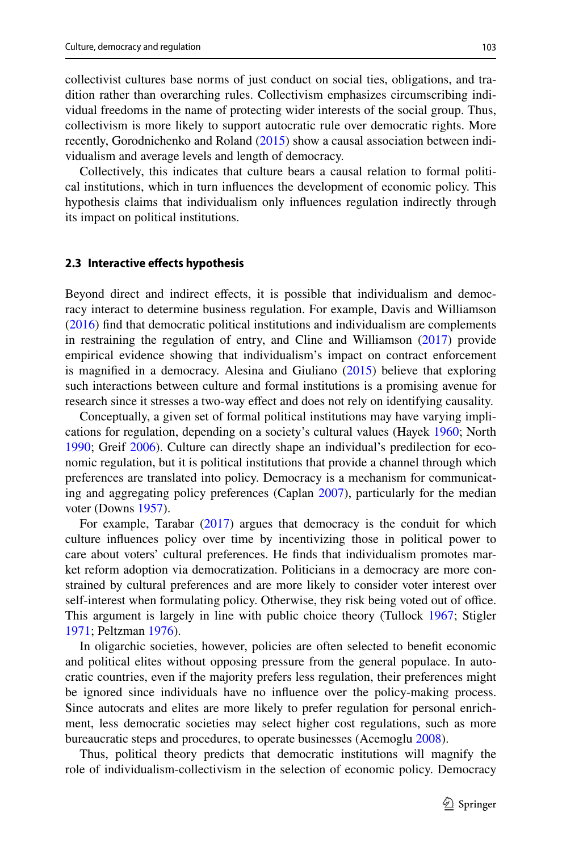collectivist cultures base norms of just conduct on social ties, obligations, and tradition rather than overarching rules. Collectivism emphasizes circumscribing individual freedoms in the name of protecting wider interests of the social group. Thus, collectivism is more likely to support autocratic rule over democratic rights. More recently, Gorodnichenko and Roland [\(2015](#page-27-10)) show a causal association between individualism and average levels and length of democracy.

Collectively, this indicates that culture bears a causal relation to formal political institutions, which in turn infuences the development of economic policy. This hypothesis claims that individualism only infuences regulation indirectly through its impact on political institutions.

#### **2.3 Interactive efects hypothesis**

Beyond direct and indirect efects, it is possible that individualism and democracy interact to determine business regulation. For example, Davis and Williamson [\(2016](#page-26-12)) fnd that democratic political institutions and individualism are complements in restraining the regulation of entry, and Cline and Williamson [\(2017](#page-26-11)) provide empirical evidence showing that individualism's impact on contract enforcement is magnifed in a democracy. Alesina and Giuliano [\(2015](#page-26-21)) believe that exploring such interactions between culture and formal institutions is a promising avenue for research since it stresses a two-way efect and does not rely on identifying causality.

Conceptually, a given set of formal political institutions may have varying implications for regulation, depending on a society's cultural values (Hayek [1960](#page-27-19); North [1990](#page-27-16); Greif [2006\)](#page-27-20). Culture can directly shape an individual's predilection for economic regulation, but it is political institutions that provide a channel through which preferences are translated into policy. Democracy is a mechanism for communicating and aggregating policy preferences (Caplan [2007](#page-26-17)), particularly for the median voter (Downs [1957\)](#page-26-22).

For example, Tarabar ([2017\)](#page-28-6) argues that democracy is the conduit for which culture infuences policy over time by incentivizing those in political power to care about voters' cultural preferences. He fnds that individualism promotes market reform adoption via democratization. Politicians in a democracy are more constrained by cultural preferences and are more likely to consider voter interest over self-interest when formulating policy. Otherwise, they risk being voted out of office. This argument is largely in line with public choice theory (Tullock [1967](#page-28-1); Stigler [1971](#page-28-2); Peltzman [1976\)](#page-27-2).

In oligarchic societies, however, policies are often selected to beneft economic and political elites without opposing pressure from the general populace. In autocratic countries, even if the majority prefers less regulation, their preferences might be ignored since individuals have no infuence over the policy-making process. Since autocrats and elites are more likely to prefer regulation for personal enrichment, less democratic societies may select higher cost regulations, such as more bureaucratic steps and procedures, to operate businesses (Acemoglu [2008](#page-26-23)).

Thus, political theory predicts that democratic institutions will magnify the role of individualism-collectivism in the selection of economic policy. Democracy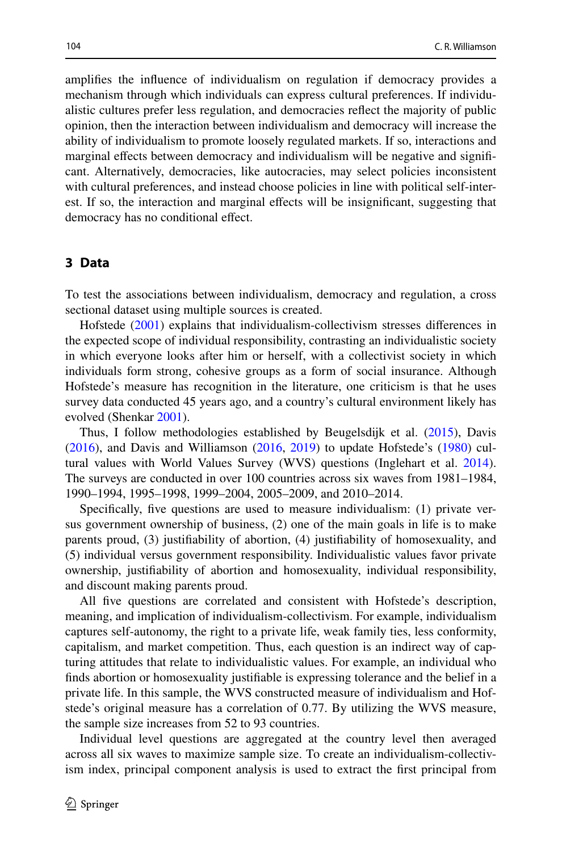amplifes the infuence of individualism on regulation if democracy provides a mechanism through which individuals can express cultural preferences. If individualistic cultures prefer less regulation, and democracies refect the majority of public opinion, then the interaction between individualism and democracy will increase the ability of individualism to promote loosely regulated markets. If so, interactions and marginal effects between democracy and individualism will be negative and significant. Alternatively, democracies, like autocracies, may select policies inconsistent with cultural preferences, and instead choose policies in line with political self-interest. If so, the interaction and marginal efects will be insignifcant, suggesting that democracy has no conditional effect.

#### **3 Data**

To test the associations between individualism, democracy and regulation, a cross sectional dataset using multiple sources is created.

Hofstede [\(2001](#page-27-11)) explains that individualism-collectivism stresses diferences in the expected scope of individual responsibility, contrasting an individualistic society in which everyone looks after him or herself, with a collectivist society in which individuals form strong, cohesive groups as a form of social insurance. Although Hofstede's measure has recognition in the literature, one criticism is that he uses survey data conducted 45 years ago, and a country's cultural environment likely has evolved (Shenkar [2001\)](#page-28-7).

Thus, I follow methodologies established by Beugelsdijk et al. ([2015\)](#page-26-18), Davis [\(2016](#page-26-19)), and Davis and Williamson ([2016,](#page-26-12) [2019](#page-26-20)) to update Hofstede's ([1980\)](#page-27-14) cultural values with World Values Survey (WVS) questions (Inglehart et al. [2014\)](#page-27-21). The surveys are conducted in over 100 countries across six waves from 1981–1984, 1990–1994, 1995–1998, 1999–2004, 2005–2009, and 2010–2014.

Specifcally, fve questions are used to measure individualism: (1) private versus government ownership of business, (2) one of the main goals in life is to make parents proud, (3) justifability of abortion, (4) justifability of homosexuality, and (5) individual versus government responsibility. Individualistic values favor private ownership, justifability of abortion and homosexuality, individual responsibility, and discount making parents proud.

All five questions are correlated and consistent with Hofstede's description, meaning, and implication of individualism-collectivism. For example, individualism captures self-autonomy, the right to a private life, weak family ties, less conformity, capitalism, and market competition. Thus, each question is an indirect way of capturing attitudes that relate to individualistic values. For example, an individual who fnds abortion or homosexuality justifable is expressing tolerance and the belief in a private life. In this sample, the WVS constructed measure of individualism and Hofstede's original measure has a correlation of 0.77. By utilizing the WVS measure, the sample size increases from 52 to 93 countries.

Individual level questions are aggregated at the country level then averaged across all six waves to maximize sample size. To create an individualism-collectivism index, principal component analysis is used to extract the frst principal from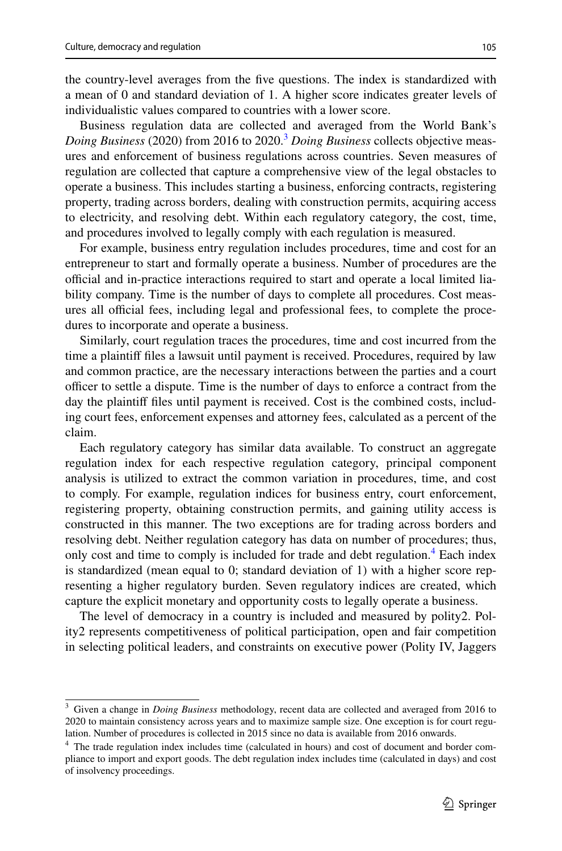the country-level averages from the fve questions. The index is standardized with a mean of 0 and standard deviation of 1. A higher score indicates greater levels of individualistic values compared to countries with a lower score.

Business regulation data are collected and averaged from the World Bank's *Doing Business* (2020) from 2016 to 2020.[3](#page-7-0) *Doing Business* collects objective measures and enforcement of business regulations across countries. Seven measures of regulation are collected that capture a comprehensive view of the legal obstacles to operate a business. This includes starting a business, enforcing contracts, registering property, trading across borders, dealing with construction permits, acquiring access to electricity, and resolving debt. Within each regulatory category, the cost, time, and procedures involved to legally comply with each regulation is measured.

For example, business entry regulation includes procedures, time and cost for an entrepreneur to start and formally operate a business. Number of procedures are the official and in-practice interactions required to start and operate a local limited liability company. Time is the number of days to complete all procedures. Cost measures all official fees, including legal and professional fees, to complete the procedures to incorporate and operate a business.

Similarly, court regulation traces the procedures, time and cost incurred from the time a plaintif fles a lawsuit until payment is received. Procedures, required by law and common practice, are the necessary interactions between the parties and a court officer to settle a dispute. Time is the number of days to enforce a contract from the day the plaintif fles until payment is received. Cost is the combined costs, including court fees, enforcement expenses and attorney fees, calculated as a percent of the claim.

Each regulatory category has similar data available. To construct an aggregate regulation index for each respective regulation category, principal component analysis is utilized to extract the common variation in procedures, time, and cost to comply. For example, regulation indices for business entry, court enforcement, registering property, obtaining construction permits, and gaining utility access is constructed in this manner. The two exceptions are for trading across borders and resolving debt. Neither regulation category has data on number of procedures; thus, only cost and time to comply is included for trade and debt regulation.<sup>4</sup> Each index is standardized (mean equal to 0; standard deviation of 1) with a higher score representing a higher regulatory burden. Seven regulatory indices are created, which capture the explicit monetary and opportunity costs to legally operate a business.

The level of democracy in a country is included and measured by polity2. Polity2 represents competitiveness of political participation, open and fair competition in selecting political leaders, and constraints on executive power (Polity IV, Jaggers

<span id="page-7-0"></span><sup>3</sup> Given a change in *Doing Business* methodology, recent data are collected and averaged from 2016 to 2020 to maintain consistency across years and to maximize sample size. One exception is for court regulation. Number of procedures is collected in 2015 since no data is available from 2016 onwards.

<span id="page-7-1"></span><sup>4</sup> The trade regulation index includes time (calculated in hours) and cost of document and border compliance to import and export goods. The debt regulation index includes time (calculated in days) and cost of insolvency proceedings.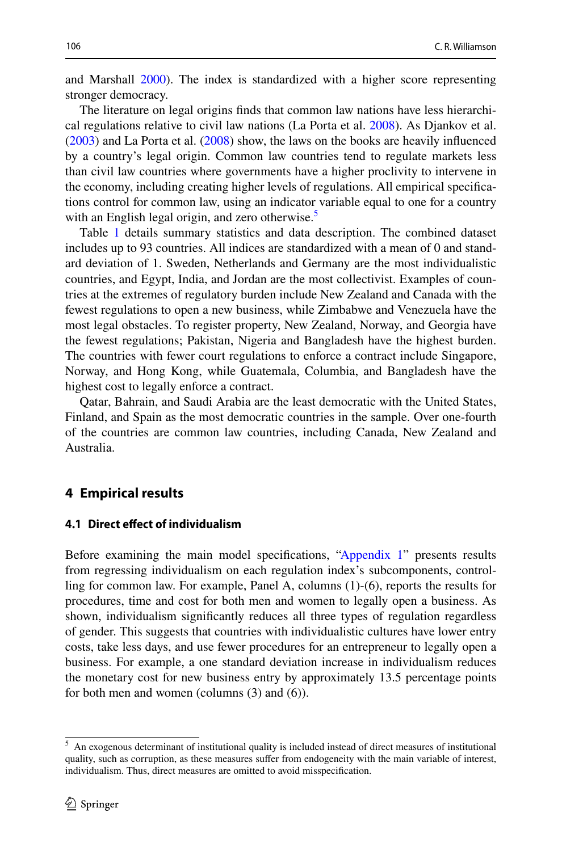and Marshall [2000\)](#page-27-22). The index is standardized with a higher score representing stronger democracy.

The literature on legal origins fnds that common law nations have less hierarchical regulations relative to civil law nations (La Porta et al. [2008](#page-27-23)). As Djankov et al. [\(2003](#page-26-7)) and La Porta et al. ([2008\)](#page-27-23) show, the laws on the books are heavily infuenced by a country's legal origin. Common law countries tend to regulate markets less than civil law countries where governments have a higher proclivity to intervene in the economy, including creating higher levels of regulations. All empirical specifcations control for common law, using an indicator variable equal to one for a country with an English legal origin, and zero otherwise.<sup>5</sup>

Table [1](#page-9-0) details summary statistics and data description. The combined dataset includes up to 93 countries. All indices are standardized with a mean of 0 and standard deviation of 1. Sweden, Netherlands and Germany are the most individualistic countries, and Egypt, India, and Jordan are the most collectivist. Examples of countries at the extremes of regulatory burden include New Zealand and Canada with the fewest regulations to open a new business, while Zimbabwe and Venezuela have the most legal obstacles. To register property, New Zealand, Norway, and Georgia have the fewest regulations; Pakistan, Nigeria and Bangladesh have the highest burden. The countries with fewer court regulations to enforce a contract include Singapore, Norway, and Hong Kong, while Guatemala, Columbia, and Bangladesh have the highest cost to legally enforce a contract.

Qatar, Bahrain, and Saudi Arabia are the least democratic with the United States, Finland, and Spain as the most democratic countries in the sample. Over one-fourth of the countries are common law countries, including Canada, New Zealand and Australia.

## **4 Empirical results**

#### **4.1 Direct efect of individualism**

Before examining the main model specifications, "Appendix 1" presents results from regressing individualism on each regulation index's subcomponents, controlling for common law. For example, Panel A, columns (1)-(6), reports the results for procedures, time and cost for both men and women to legally open a business. As shown, individualism signifcantly reduces all three types of regulation regardless of gender. This suggests that countries with individualistic cultures have lower entry costs, take less days, and use fewer procedures for an entrepreneur to legally open a business. For example, a one standard deviation increase in individualism reduces the monetary cost for new business entry by approximately 13.5 percentage points for both men and women (columns (3) and (6)).

<span id="page-8-0"></span><sup>5</sup> An exogenous determinant of institutional quality is included instead of direct measures of institutional quality, such as corruption, as these measures sufer from endogeneity with the main variable of interest, individualism. Thus, direct measures are omitted to avoid misspecifcation.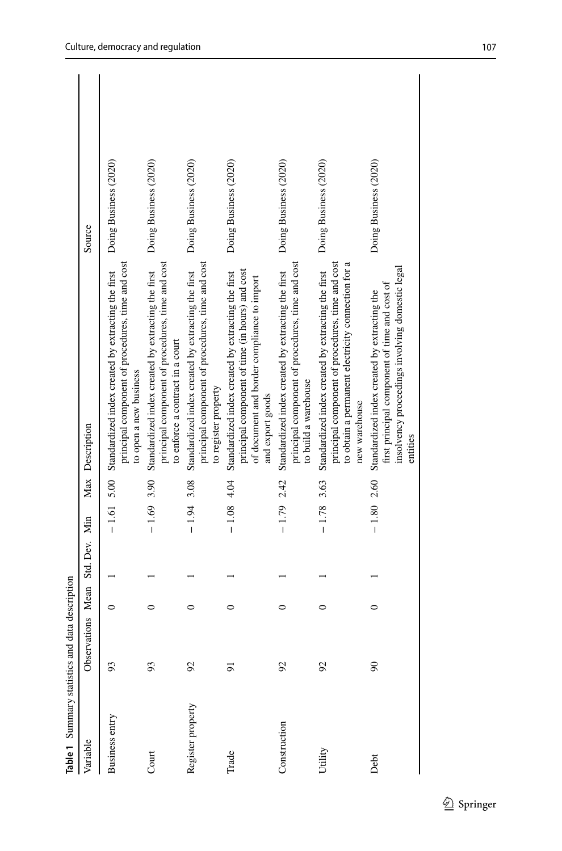<span id="page-9-0"></span>

| <b>Table 1</b> Summary statistics and data description |          |         |                           |              |      |                                                                                                                                                                               |                       |
|--------------------------------------------------------|----------|---------|---------------------------|--------------|------|-------------------------------------------------------------------------------------------------------------------------------------------------------------------------------|-----------------------|
| Variable                                               | Observ   |         | ations Mean Std. Dev. Min |              |      | Max Description                                                                                                                                                               | Source                |
| Business entry                                         | 93       | $\circ$ |                           |              |      | principal component of procedures, time and cost<br>- 1.61 5.00 Standardized index created by extracting the first<br>to open a new business                                  | Doing Business (2020) |
| Court                                                  | 93       | 0       |                           | $-1.69$ 3.90 |      | principal component of procedures, time and cost<br>Standardized index created by extracting the first<br>to enforce a contract in a court                                    | Doing Business (2020) |
| Register property                                      | 92       | $\circ$ |                           | $-1.94$ 3.08 |      | principal component of procedures, time and cost<br>Standardized index created by extracting the first<br>to register property                                                | Doing Business (2020) |
| Trade                                                  | 5        | 0       |                           | $-1.08$      | 4.04 | principal component of time (in hours) and cost<br>Standardized index created by extracting the first<br>of document and border compliance to import<br>and export goods      | Doing Business (2020) |
| Construction                                           | 92       | 0       |                           | $-1.79$ 2.42 |      | principal component of procedures, time and cost<br>Standardized index created by extracting the first<br>to build a warehouse                                                | Doing Business (2020) |
| Jtility                                                | 92       | 0       |                           | $-1.78$ 3.63 |      | principal component of procedures, time and cost<br>to obtain a permanent electricity connection for a<br>Standardized index created by extracting the first<br>new warehouse | Doing Business (2020) |
| Debt                                                   | $\infty$ | $\circ$ |                           | $-1.80$ 2.60 |      | insolvency proceedings involving domestic legal<br>first principal component of time and cost of<br>Standardized index created by extracting the<br>entities                  | Doing Business (2020) |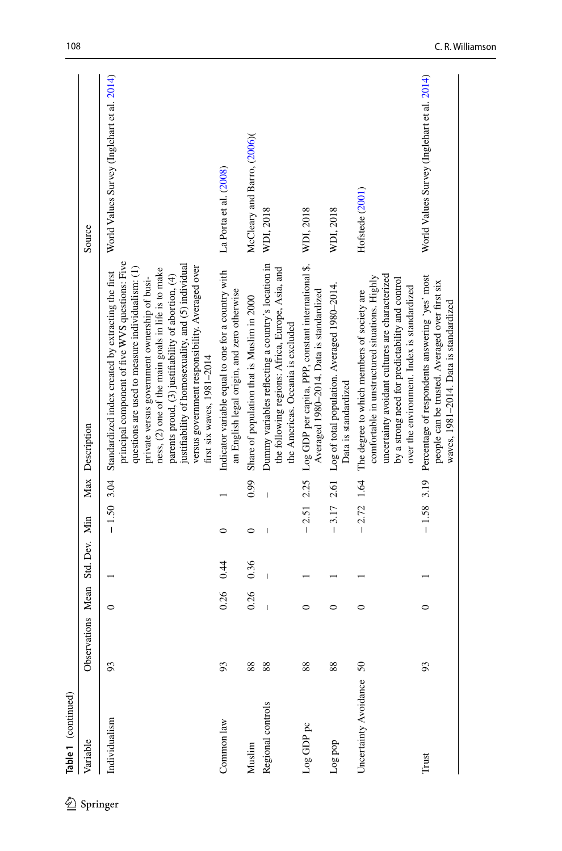|                            | Table 1 (continued)      |          |            |               |         |      |                                                                                                                                                                                                                                                                                                                                                                                                                                                               |                                             |
|----------------------------|--------------------------|----------|------------|---------------|---------|------|---------------------------------------------------------------------------------------------------------------------------------------------------------------------------------------------------------------------------------------------------------------------------------------------------------------------------------------------------------------------------------------------------------------------------------------------------------------|---------------------------------------------|
| $\textcircled{2}$ Springer | Variable                 | Observat | tions Mean | Std. Dev. Min |         |      | Max Description                                                                                                                                                                                                                                                                                                                                                                                                                                               | Source                                      |
|                            | Individualism            | 93       | $\circ$    |               | $-1.50$ | 3.04 | principal component of five WVS questions: Five<br>justifiability of homosexuality, and (5) individual<br>versus government responsibility. Averaged over<br>questions are used to measure individualism: (1)<br>ness, (2) one of the main goals in life is to make<br>Standardized index created by extracting the first<br>private versus government ownership of busi-<br>parents proud, (3) justifiability of abortion, (4)<br>first six waves, 1981-2014 | World Values Survey (Inglehart et al. 2014) |
|                            | Common law               | 93       | 0.26       | 0.44          | 0       |      | Indicator variable equal to one for a country with<br>an English legal origin, and zero otherwise                                                                                                                                                                                                                                                                                                                                                             | La Porta et al. (2008)                      |
|                            | Muslim                   | 88       | 0.26       | 0.36          | $\circ$ | 0.99 | Share of population that is Muslim in 2000                                                                                                                                                                                                                                                                                                                                                                                                                    | McCleary and Barro, (2006)(                 |
|                            | Regional controls        | 88       | Ï          |               |         |      | Dummy variables reflecting a country's location in<br>the following regions: Africa, Europe, Asia, and<br>the Americas. Oceania is excluded                                                                                                                                                                                                                                                                                                                   | WDI, 2018                                   |
|                            | Log GDP pc               | 88       | 0          |               | $-2.51$ |      | 2.25 Log GDP per capita, PPP, constant international \$.<br>Averaged 1980-2014. Data is standardized                                                                                                                                                                                                                                                                                                                                                          | WDI, 2018                                   |
|                            | Log pop                  | 88       | 0          |               | $-3.17$ | 2.61 | Log of total population. Averaged 1980-2014.<br>Data is standardized                                                                                                                                                                                                                                                                                                                                                                                          | WDI, 2018                                   |
|                            | Uncertainty Avoidance 50 |          | 0          |               | $-2.72$ | 1.64 | uncertainty avoidant cultures are characterized<br>comfortable in unstructured situations. Highly<br>by a strong need for predictability and control<br>over the environment. Index is standardized<br>The degree to which members of society are                                                                                                                                                                                                             | Hofstede (2001)                             |
|                            | Trust                    | 93       | 0          |               | $-1.58$ | 3.19 | Percentage of respondents answering 'yes' most<br>people can be trusted. Averaged over first six<br>waves, 1981–2014. Data is standardized                                                                                                                                                                                                                                                                                                                    | World Values Survey (Inglehart et al. 2014) |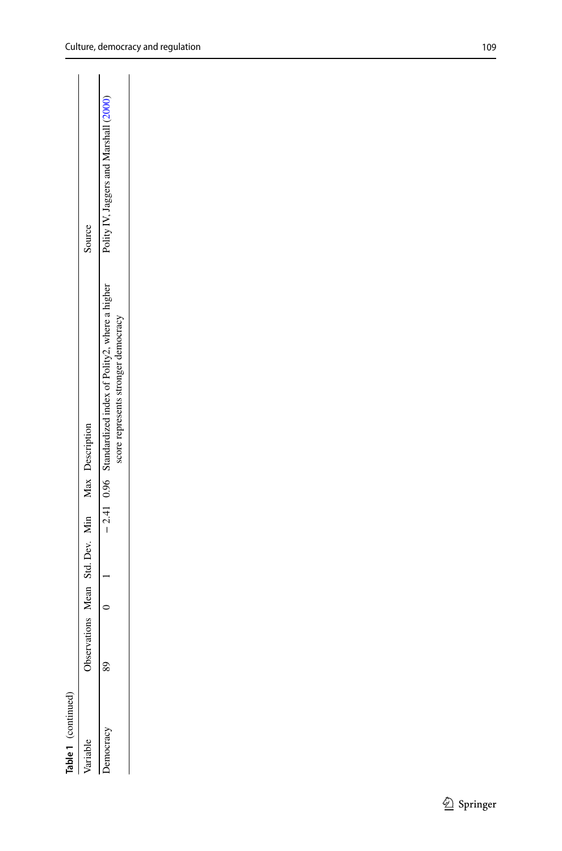| Table 1 (continued)         |              |  |  |                                                                                                                                        |        |
|-----------------------------|--------------|--|--|----------------------------------------------------------------------------------------------------------------------------------------|--------|
| /ariable                    | <b>Jbser</b> |  |  | vations Mean Std. Dev. Min Max Description                                                                                             | Source |
| $\mathop{\mathrm{nnocrac}}$ | 89           |  |  | -2.41 0.96 Standardized index of Polity2, where a higher Polity IV, Jaggers and Marshall (2000)<br>score represents stronger democracy |        |
|                             |              |  |  |                                                                                                                                        |        |
|                             |              |  |  |                                                                                                                                        |        |
|                             |              |  |  |                                                                                                                                        |        |
|                             |              |  |  |                                                                                                                                        |        |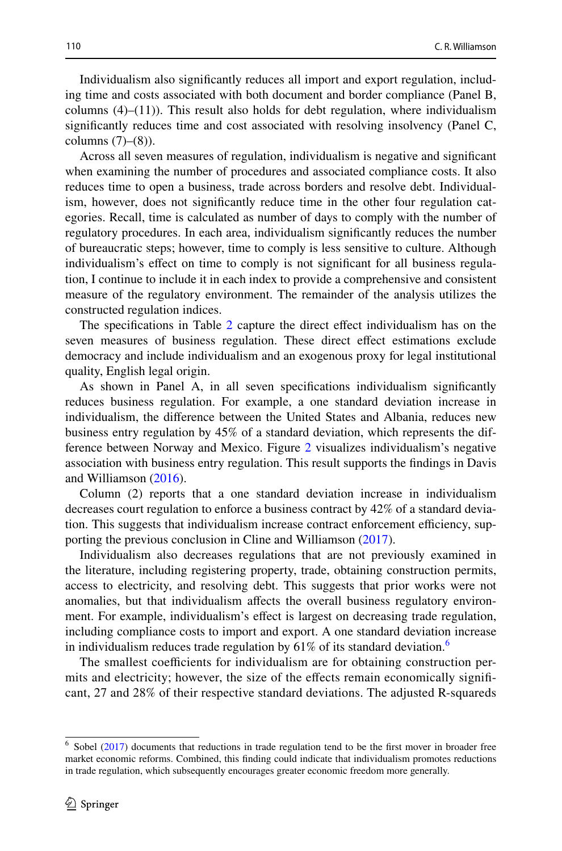Individualism also signifcantly reduces all import and export regulation, including time and costs associated with both document and border compliance (Panel B, columns  $(4)$ – $(11)$ ). This result also holds for debt regulation, where individualism signifcantly reduces time and cost associated with resolving insolvency (Panel C, columns (7)–(8)).

Across all seven measures of regulation, individualism is negative and signifcant when examining the number of procedures and associated compliance costs. It also reduces time to open a business, trade across borders and resolve debt. Individualism, however, does not signifcantly reduce time in the other four regulation categories. Recall, time is calculated as number of days to comply with the number of regulatory procedures. In each area, individualism signifcantly reduces the number of bureaucratic steps; however, time to comply is less sensitive to culture. Although individualism's efect on time to comply is not signifcant for all business regulation, I continue to include it in each index to provide a comprehensive and consistent measure of the regulatory environment. The remainder of the analysis utilizes the constructed regulation indices.

The specifcations in Table [2](#page-13-0) capture the direct efect individualism has on the seven measures of business regulation. These direct effect estimations exclude democracy and include individualism and an exogenous proxy for legal institutional quality, English legal origin.

As shown in Panel A, in all seven specifcations individualism signifcantly reduces business regulation. For example, a one standard deviation increase in individualism, the diference between the United States and Albania, reduces new business entry regulation by 45% of a standard deviation, which represents the difference between Norway and Mexico. Figure [2](#page-14-0) visualizes individualism's negative association with business entry regulation. This result supports the fndings in Davis and Williamson [\(2016](#page-26-12)).

Column (2) reports that a one standard deviation increase in individualism decreases court regulation to enforce a business contract by 42% of a standard deviation. This suggests that individualism increase contract enforcement efficiency, supporting the previous conclusion in Cline and Williamson ([2017\)](#page-26-11).

Individualism also decreases regulations that are not previously examined in the literature, including registering property, trade, obtaining construction permits, access to electricity, and resolving debt. This suggests that prior works were not anomalies, but that individualism afects the overall business regulatory environment. For example, individualism's efect is largest on decreasing trade regulation, including compliance costs to import and export. A one standard deviation increase in individualism reduces trade regulation by  $61\%$  $61\%$  of its standard deviation.<sup>6</sup>

The smallest coefficients for individualism are for obtaining construction permits and electricity; however, the size of the effects remain economically significant, 27 and 28% of their respective standard deviations. The adjusted R-squareds

<span id="page-12-0"></span> $6$  Sobel [\(2017](#page-28-8)) documents that reductions in trade regulation tend to be the first mover in broader free market economic reforms. Combined, this fnding could indicate that individualism promotes reductions in trade regulation, which subsequently encourages greater economic freedom more generally.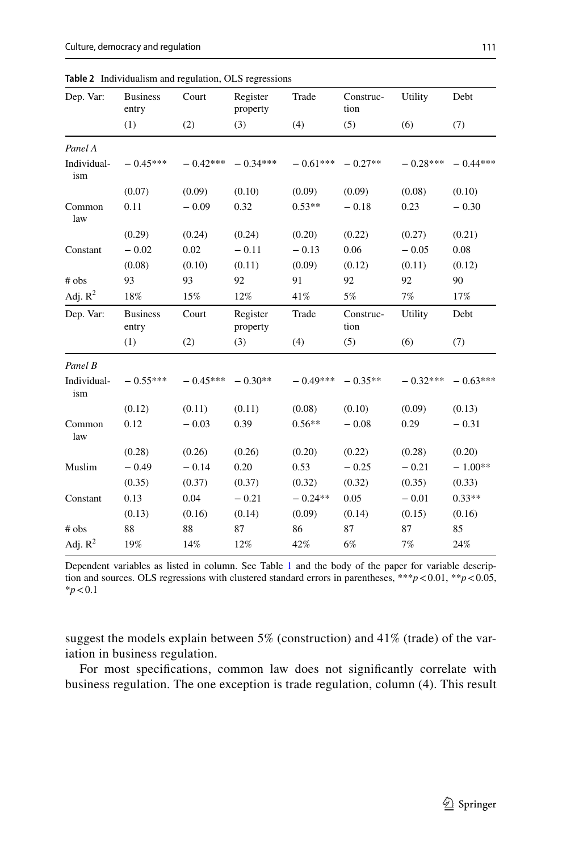| Dep. Var:          | <b>Business</b><br>entry | Court                | Register<br>property  | Trade     | Construc-<br>tion    | Utility    | Debt                |
|--------------------|--------------------------|----------------------|-----------------------|-----------|----------------------|------------|---------------------|
|                    | (1)                      | (2)                  | (3)                   | (4)       | (5)                  | (6)        | (7)                 |
| Panel A            |                          |                      |                       |           |                      |            |                     |
| Individual-<br>ism | $-0.45***$               |                      | $-0.42***$ $-0.34***$ |           | $-0.61***$ $-0.27**$ |            | $-0.28*** -0.44***$ |
|                    | (0.07)                   | (0.09)               | (0.10)                | (0.09)    | (0.09)               | (0.08)     | (0.10)              |
| Common<br>law      | 0.11                     | $-0.09$              | 0.32                  | $0.53**$  | $-0.18$              | 0.23       | $-0.30$             |
|                    | (0.29)                   | (0.24)               | (0.24)                | (0.20)    | (0.22)               | (0.27)     | (0.21)              |
| Constant           | $-0.02$                  | 0.02                 | $-0.11$               | $-0.13$   | 0.06                 | $-0.05$    | 0.08                |
|                    | (0.08)                   | (0.10)               | (0.11)                | (0.09)    | (0.12)               | (0.11)     | (0.12)              |
| # obs              | 93                       | 93                   | 92                    | 91        | 92                   | 92         | 90                  |
| Adj. $R^2$         | 18%                      | 15%                  | 12%                   | 41%       | 5%                   | $7\%$      | 17%                 |
| Dep. Var:          | <b>Business</b><br>entry | Court                | Register<br>property  | Trade     | Construc-<br>tion    | Utility    | Debt                |
|                    | (1)                      | (2)                  | (3)                   | (4)       | (5)                  | (6)        | (7)                 |
| Panel B            |                          |                      |                       |           |                      |            |                     |
| Individual-<br>ism | $-0.55***$               | $-0.45***$ $-0.30**$ |                       |           | $-0.49***$ $-0.35**$ | $-0.32***$ | $-0.63***$          |
|                    | (0.12)                   | (0.11)               | (0.11)                | (0.08)    | (0.10)               | (0.09)     | (0.13)              |
| Common<br>law      | 0.12                     | $-0.03$              | 0.39                  | $0.56**$  | $-0.08$              | 0.29       | $-0.31$             |
|                    | (0.28)                   | (0.26)               | (0.26)                | (0.20)    | (0.22)               | (0.28)     | (0.20)              |
| Muslim             | $-0.49$                  | $-0.14$              | 0.20                  | 0.53      | $-0.25$              | $-0.21$    | $-1.00**$           |
|                    | (0.35)                   | (0.37)               | (0.37)                | (0.32)    | (0.32)               | (0.35)     | (0.33)              |
| Constant           | 0.13                     | 0.04                 | $-0.21$               | $-0.24**$ | 0.05                 | $-0.01$    | $0.33**$            |
|                    | (0.13)                   | (0.16)               | (0.14)                | (0.09)    | (0.14)               | (0.15)     | (0.16)              |
| # obs              | 88                       | 88                   | 87                    | 86        | 87                   | 87         | 85                  |
| Adj. $R^2$         | 19%                      | 14%                  | 12%                   | 42%       | 6%                   | 7%         | 24%                 |

<span id="page-13-0"></span>**Table 2** Individualism and regulation, OLS regressions

Dependent variables as listed in column. See Table [1](#page-9-0) and the body of the paper for variable description and sources. OLS regressions with clustered standard errors in parentheses, \*\*\**p*<0.01, \*\**p*<0.05, \**p*<0.1

suggest the models explain between 5% (construction) and 41% (trade) of the variation in business regulation.

For most specifcations, common law does not signifcantly correlate with business regulation. The one exception is trade regulation, column (4). This result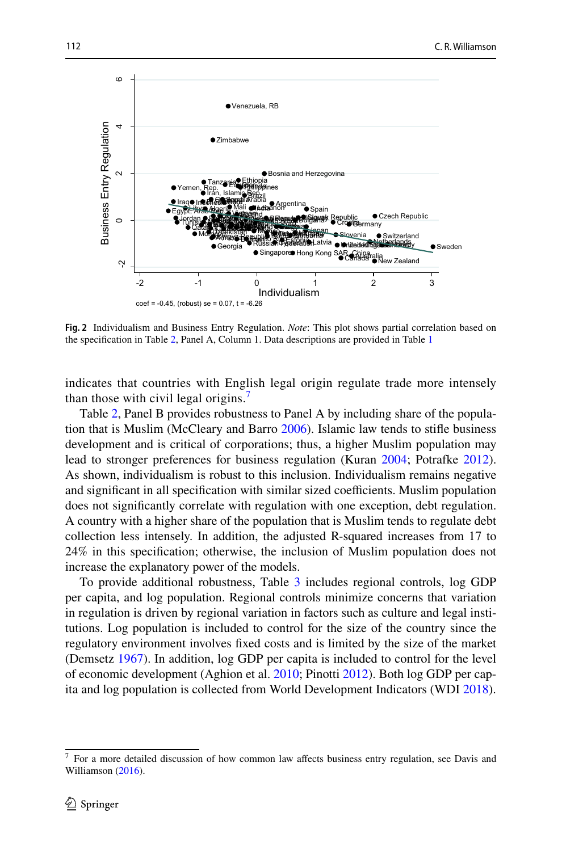

<span id="page-14-0"></span>**Fig. 2** Individualism and Business Entry Regulation. *Note*: This plot shows partial correlation based on the specifcation in Table [2](#page-13-0), Panel A, Column 1. Data descriptions are provided in Table [1](#page-9-0)

indicates that countries with English legal origin regulate trade more intensely than those with civil legal origins.<sup>[7](#page-14-1)</sup>

Table [2](#page-13-0), Panel B provides robustness to Panel A by including share of the population that is Muslim (McCleary and Barro [2006](#page-27-24)). Islamic law tends to stife business development and is critical of corporations; thus, a higher Muslim population may lead to stronger preferences for business regulation (Kuran [2004;](#page-27-25) Potrafke [2012\)](#page-27-26). As shown, individualism is robust to this inclusion. Individualism remains negative and significant in all specification with similar sized coefficients. Muslim population does not signifcantly correlate with regulation with one exception, debt regulation. A country with a higher share of the population that is Muslim tends to regulate debt collection less intensely. In addition, the adjusted R-squared increases from 17 to 24% in this specifcation; otherwise, the inclusion of Muslim population does not increase the explanatory power of the models.

To provide additional robustness, Table [3](#page-15-0) includes regional controls, log GDP per capita, and log population. Regional controls minimize concerns that variation in regulation is driven by regional variation in factors such as culture and legal institutions. Log population is included to control for the size of the country since the regulatory environment involves fxed costs and is limited by the size of the market (Demsetz [1967](#page-26-24)). In addition, log GDP per capita is included to control for the level of economic development (Aghion et al. [2010;](#page-26-25) Pinotti [2012](#page-27-27)). Both log GDP per capita and log population is collected from World Development Indicators (WDI [2018](#page-28-9)).

<span id="page-14-1"></span> $7$  For a more detailed discussion of how common law affects business entry regulation, see Davis and Williamson ([2016\)](#page-26-12).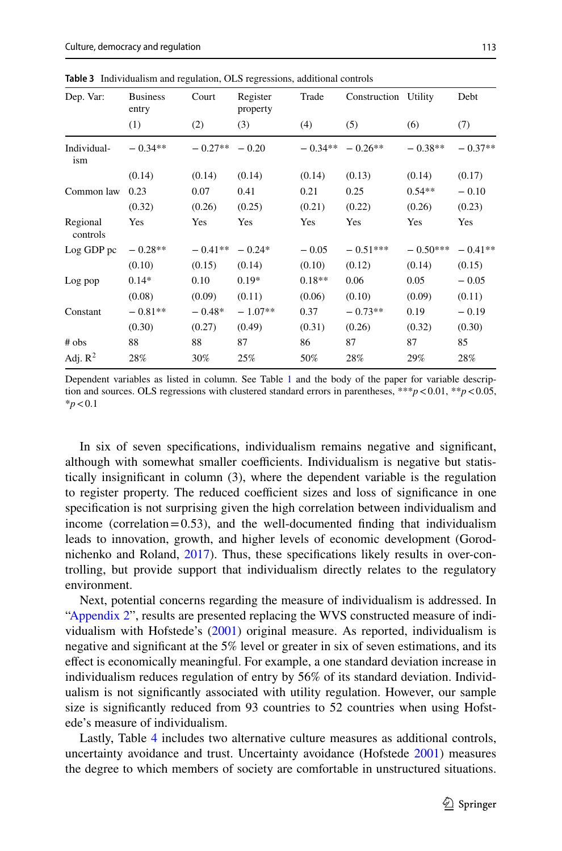| Dep. Var:            | <b>Business</b><br>entry | Court     | Register<br>property | Trade    | Construction       | Utility    | Debt      |
|----------------------|--------------------------|-----------|----------------------|----------|--------------------|------------|-----------|
|                      | (1)                      | (2)       | (3)                  | (4)      | (5)                | (6)        | (7)       |
| Individual-<br>ism   | $-0.34**$                | $-0.27**$ | $-0.20$              |          | $-0.34*** -0.26**$ | $-0.38**$  | $-0.37**$ |
|                      | (0.14)                   | (0.14)    | (0.14)               | (0.14)   | (0.13)             | (0.14)     | (0.17)    |
| Common law           | 0.23                     | 0.07      | 0.41                 | 0.21     | 0.25               | $0.54**$   | $-0.10$   |
|                      | (0.32)                   | (0.26)    | (0.25)               | (0.21)   | (0.22)             | (0.26)     | (0.23)    |
| Regional<br>controls | Yes                      | Yes       | Yes                  | Yes      | Yes                | Yes        | Yes       |
| Log GDP pc           | $-0.28**$                | $-0.41**$ | $-0.24*$             | $-0.05$  | $-0.51***$         | $-0.50***$ | $-0.41**$ |
|                      | (0.10)                   | (0.15)    | (0.14)               | (0.10)   | (0.12)             | (0.14)     | (0.15)    |
| Log pop              | $0.14*$                  | 0.10      | $0.19*$              | $0.18**$ | 0.06               | 0.05       | $-0.05$   |
|                      | (0.08)                   | (0.09)    | (0.11)               | (0.06)   | (0.10)             | (0.09)     | (0.11)    |
| Constant             | $-0.81**$                | $-0.48*$  | $-1.07**$            | 0.37     | $-0.73**$          | 0.19       | $-0.19$   |
|                      | (0.30)                   | (0.27)    | (0.49)               | (0.31)   | (0.26)             | (0.32)     | (0.30)    |
| # obs                | 88                       | 88        | 87                   | 86       | 87                 | 87         | 85        |
| Adj. $R^2$           | 28%                      | 30%       | 25%                  | 50%      | 28%                | 29%        | 28%       |

<span id="page-15-0"></span>**Table 3** Individualism and regulation, OLS regressions, additional controls

Dependent variables as listed in column. See Table [1](#page-9-0) and the body of the paper for variable description and sources. OLS regressions with clustered standard errors in parentheses, \*\*\**p*<0.01, \*\**p*<0.05, \**p*<0.1

In six of seven specifcations, individualism remains negative and signifcant, although with somewhat smaller coefficients. Individualism is negative but statistically insignifcant in column (3), where the dependent variable is the regulation to register property. The reduced coefficient sizes and loss of significance in one specifcation is not surprising given the high correlation between individualism and income (correlation=0.53), and the well-documented finding that individualism leads to innovation, growth, and higher levels of economic development (Gorodnichenko and Roland, [2017](#page-27-12)). Thus, these specifcations likely results in over-controlling, but provide support that individualism directly relates to the regulatory environment.

Next, potential concerns regarding the measure of individualism is addressed. In ["Appendix 2"](#page-25-0), results are presented replacing the WVS constructed measure of individualism with Hofstede's ([2001\)](#page-27-11) original measure. As reported, individualism is negative and signifcant at the 5% level or greater in six of seven estimations, and its efect is economically meaningful. For example, a one standard deviation increase in individualism reduces regulation of entry by 56% of its standard deviation. Individualism is not signifcantly associated with utility regulation. However, our sample size is signifcantly reduced from 93 countries to 52 countries when using Hofstede's measure of individualism.

Lastly, Table [4](#page-16-0) includes two alternative culture measures as additional controls, uncertainty avoidance and trust. Uncertainty avoidance (Hofstede [2001](#page-27-11)) measures the degree to which members of society are comfortable in unstructured situations.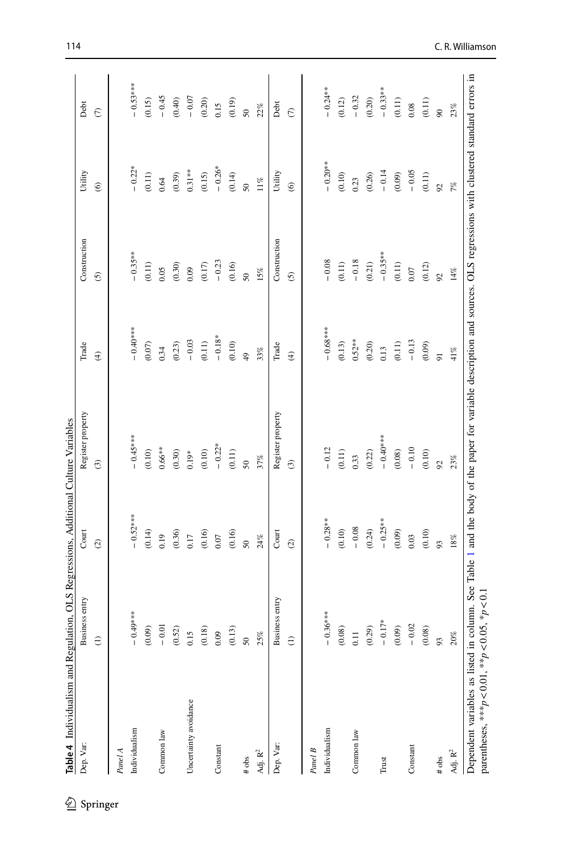<span id="page-16-0"></span>

| Dep. Var:             | Business entry | Court                   | Register property | Trade                    | Construction | Utility         | Debt            |
|-----------------------|----------------|-------------------------|-------------------|--------------------------|--------------|-----------------|-----------------|
|                       | $\widehat{z}$  | $\odot$                 | $\odot$           | $\widehat{\mathcal{F}}$  | $\odot$      | $\circledcirc$  | $\epsilon$      |
| Panel A               |                |                         |                   |                          |              |                 |                 |
| Individualism         | $-0.49***$     | $-0.52***$              | $-0.45***$        | $-0.40***$               | $-0.35***$   | $-0.22*$        | $-0.53***$      |
|                       | (0.09)         | (0.14)                  | (0.10)            | $(0.07)$                 | $(0.11)$     | $(0.11)$        | (0.15)          |
| Common law            | $-0.01$        | 0.19                    | $0.66***$         | 0.34                     | 0.05         | 0.64            | $-0.45$         |
|                       | $(0.52)$       | (0.36)                  | $(0.30)$          | (0.23)                   | (0.30)       | (0.39)          | (0.40)          |
| Uncertainty avoidance | 0.15           | 0.17                    | $0.19*$           | $-0.03$                  | 0.09         | $0.31***$       | $-0.07$         |
|                       | (0.18)         | (0.16)                  | $(0.10)$          | $(0.11)$                 | (0.17)       | $(0.15)$        | $(0.20)$        |
| Constant              | 0.09           | 0.07                    | $-0.22*$          | $-0.18*$                 | $-0.23$      | $-0.26*$        | 0.15            |
|                       | (0.13)         | (0.16)                  | $(0.11)$          | $(0.10)$                 | (0.16)       | $(0.14)$        | (0.19)          |
| $#$ obs               | $50\,$         | $50\,$                  | 50 <sub>5</sub>   | $\frac{4}{9}$            | $50\,$       | 50 <sub>5</sub> | 50 <sub>5</sub> |
| Adj. $\mathbf{R}^2$   | 25%            | 24%                     | 37%               | 33%                      | 15%          | $11\%$          | 22%             |
| Dep. Var:             | Business entry | Court                   | Register property | Trade                    | Construction | Utility         | Debt            |
|                       | $\ominus$      | $\widehat{\mathcal{O}}$ | $\odot$           | $\widehat{\mathfrak{g}}$ | $\odot$      | $\odot$         | $\widehat{C}$   |
| Panel B               |                |                         |                   |                          |              |                 |                 |
| Individualism         | $-0.36***$     | $-0.28***$              | $-0.12$           | $-0.68***$               | $-0.08$      | $-0.20**$       | $-0.24**$       |
|                       | (0.08)         | (0.10)                  | $(0.11)$          | (0.13)                   | $(0.11)$     | $(0.10)$        | (0.12)          |
| Common law            | $0.11$         | $-0.08$                 | 0.33              | $0.52***$                | $-0.18$      | 0.23            | $-0.32$         |
|                       | (0.29)         | (0.24)                  | $(0.22)$          | (0.20)                   | (0.21)       | $(0.26)$        | (0.20)          |
| Trust                 | $-0.17*$       | $-0.25***$              | $-0.40***$        | 0.13                     | $-0.35**$    | $-0.14$         | $-0.33***$      |
|                       | (0.09)         | $(0.09)$                | (0.08)            | $(0.11)$                 | $(0.11)$     | $(0.09)$        | $(0.11)$        |
| Constant              | $-0.02\,$      | 0.03                    | $-0.10$           | $-0.13$                  | 0.07         | $-0.05$         | $0.08\,$        |
|                       | (0.08)         | $(0.10)$                | $(0.10)$          | (0.09)                   | (0.12)       | $(0.11)$        | $(0.11)$        |
| $#$ obs               | 93             | 93                      | 92                | 91                       | 92           | $\overline{56}$ | $\overline{6}$  |
| Adj. $\mathbb{R}^2$   | 20%            | $18\%$                  | 23%               | 41%                      | $14\%$       | 7%              | 23%             |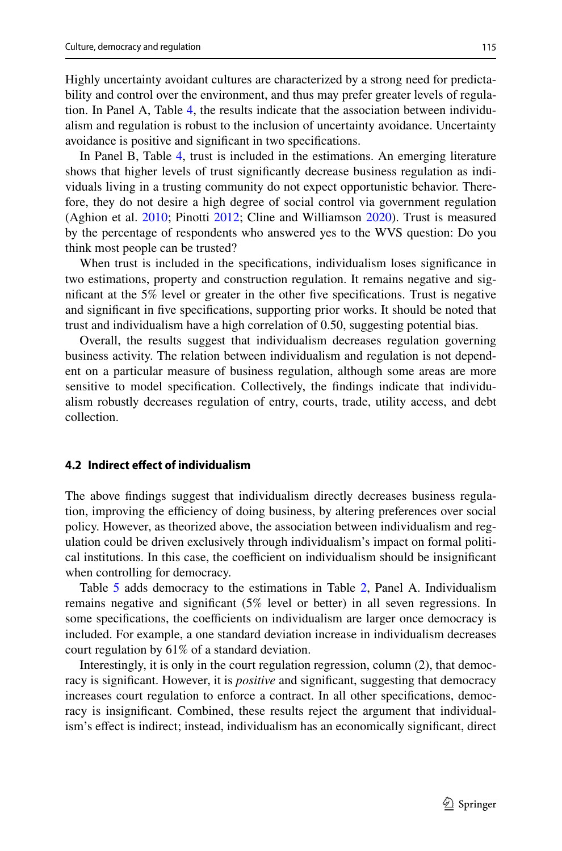Highly uncertainty avoidant cultures are characterized by a strong need for predictability and control over the environment, and thus may prefer greater levels of regulation. In Panel A, Table [4](#page-16-0), the results indicate that the association between individualism and regulation is robust to the inclusion of uncertainty avoidance. Uncertainty avoidance is positive and signifcant in two specifcations.

In Panel B, Table [4,](#page-16-0) trust is included in the estimations. An emerging literature shows that higher levels of trust signifcantly decrease business regulation as individuals living in a trusting community do not expect opportunistic behavior. Therefore, they do not desire a high degree of social control via government regulation (Aghion et al. [2010](#page-26-25); Pinotti [2012](#page-27-27); Cline and Williamson [2020](#page-26-26)). Trust is measured by the percentage of respondents who answered yes to the WVS question: Do you think most people can be trusted?

When trust is included in the specifcations, individualism loses signifcance in two estimations, property and construction regulation. It remains negative and signifcant at the 5% level or greater in the other fve specifcations. Trust is negative and signifcant in fve specifcations, supporting prior works. It should be noted that trust and individualism have a high correlation of 0.50, suggesting potential bias.

Overall, the results suggest that individualism decreases regulation governing business activity. The relation between individualism and regulation is not dependent on a particular measure of business regulation, although some areas are more sensitive to model specifcation. Collectively, the fndings indicate that individualism robustly decreases regulation of entry, courts, trade, utility access, and debt collection.

#### **4.2 Indirect efect of individualism**

The above fndings suggest that individualism directly decreases business regulation, improving the efficiency of doing business, by altering preferences over social policy. However, as theorized above, the association between individualism and regulation could be driven exclusively through individualism's impact on formal political institutions. In this case, the coefficient on individualism should be insignificant when controlling for democracy.

Table [5](#page-19-0) adds democracy to the estimations in Table [2](#page-13-0), Panel A. Individualism remains negative and signifcant (5% level or better) in all seven regressions. In some specifications, the coefficients on individualism are larger once democracy is included. For example, a one standard deviation increase in individualism decreases court regulation by 61% of a standard deviation.

Interestingly, it is only in the court regulation regression, column (2), that democracy is signifcant. However, it is *positive* and signifcant, suggesting that democracy increases court regulation to enforce a contract. In all other specifcations, democracy is insignifcant. Combined, these results reject the argument that individualism's efect is indirect; instead, individualism has an economically signifcant, direct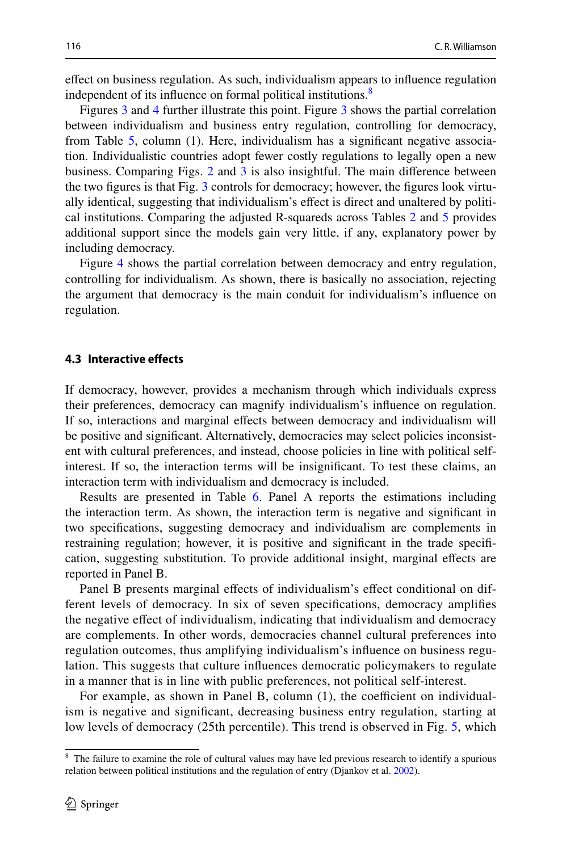efect on business regulation. As such, individualism appears to infuence regulation independent of its influence on formal political institutions.<sup>[8](#page-18-0)</sup>

Figures [3](#page-19-1) and [4](#page-20-0) further illustrate this point. Figure [3](#page-19-1) shows the partial correlation between individualism and business entry regulation, controlling for democracy, from Table [5](#page-19-0), column (1). Here, individualism has a significant negative association. Individualistic countries adopt fewer costly regulations to legally open a new business. Comparing Figs. [2](#page-14-0) and [3](#page-19-1) is also insightful. The main diference between the two fgures is that Fig. [3](#page-19-1) controls for democracy; however, the fgures look virtually identical, suggesting that individualism's efect is direct and unaltered by political institutions. Comparing the adjusted R-squareds across Tables [2](#page-13-0) and [5](#page-19-0) provides additional support since the models gain very little, if any, explanatory power by including democracy.

Figure [4](#page-20-0) shows the partial correlation between democracy and entry regulation, controlling for individualism. As shown, there is basically no association, rejecting the argument that democracy is the main conduit for individualism's infuence on regulation.

#### **4.3 Interactive efects**

If democracy, however, provides a mechanism through which individuals express their preferences, democracy can magnify individualism's infuence on regulation. If so, interactions and marginal efects between democracy and individualism will be positive and signifcant. Alternatively, democracies may select policies inconsistent with cultural preferences, and instead, choose policies in line with political selfinterest. If so, the interaction terms will be insignifcant. To test these claims, an interaction term with individualism and democracy is included.

Results are presented in Table [6.](#page-21-0) Panel A reports the estimations including the interaction term. As shown, the interaction term is negative and signifcant in two specifcations, suggesting democracy and individualism are complements in restraining regulation; however, it is positive and signifcant in the trade specifcation, suggesting substitution. To provide additional insight, marginal efects are reported in Panel B.

Panel B presents marginal effects of individualism's effect conditional on different levels of democracy. In six of seven specifcations, democracy amplifes the negative efect of individualism, indicating that individualism and democracy are complements. In other words, democracies channel cultural preferences into regulation outcomes, thus amplifying individualism's infuence on business regulation. This suggests that culture infuences democratic policymakers to regulate in a manner that is in line with public preferences, not political self-interest.

For example, as shown in Panel B, column  $(1)$ , the coefficient on individualism is negative and signifcant, decreasing business entry regulation, starting at low levels of democracy (25th percentile). This trend is observed in Fig. [5](#page-22-1), which

<span id="page-18-0"></span><sup>&</sup>lt;sup>8</sup> The failure to examine the role of cultural values may have led previous research to identify a spurious relation between political institutions and the regulation of entry (Djankov et al. [2002](#page-26-0)).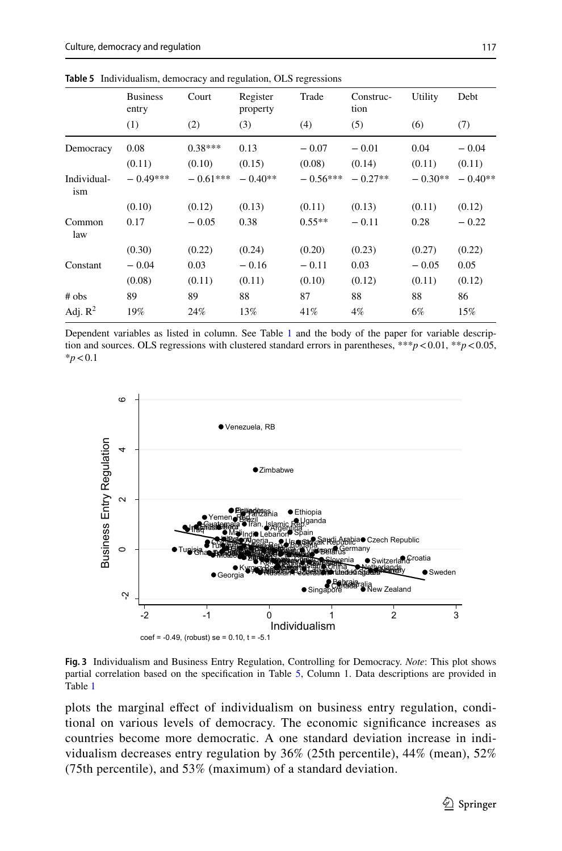|                    | <b>Business</b><br>entry | Court      | Register<br>property | Trade      | Construc-<br>tion | Utility   | Debt      |
|--------------------|--------------------------|------------|----------------------|------------|-------------------|-----------|-----------|
|                    | (1)                      | (2)        | (3)                  | (4)        | (5)               | (6)       | (7)       |
| Democracy          | 0.08                     | $0.38***$  | 0.13                 | $-0.07$    | $-0.01$           | 0.04      | $-0.04$   |
|                    | (0.11)                   | (0.10)     | (0.15)               | (0.08)     | (0.14)            | (0.11)    | (0.11)    |
| Individual-<br>ism | $-0.49***$               | $-0.61***$ | $-0.40**$            | $-0.56***$ | $-0.27**$         | $-0.30**$ | $-0.40**$ |
|                    | (0.10)                   | (0.12)     | (0.13)               | (0.11)     | (0.13)            | (0.11)    | (0.12)    |
| Common<br>law      | 0.17                     | $-0.05$    | 0.38                 | $0.55**$   | $-0.11$           | 0.28      | $-0.22$   |
|                    | (0.30)                   | (0.22)     | (0.24)               | (0.20)     | (0.23)            | (0.27)    | (0.22)    |
| Constant           | $-0.04$                  | 0.03       | $-0.16$              | $-0.11$    | 0.03              | $-0.05$   | 0.05      |
|                    | (0.08)                   | (0.11)     | (0.11)               | (0.10)     | (0.12)            | (0.11)    | (0.12)    |
| $#$ obs            | 89                       | 89         | 88                   | 87         | 88                | 88        | 86        |
| Adj. $R^2$         | 19%                      | 24%        | 13%                  | 41%        | 4%                | 6%        | 15%       |

<span id="page-19-0"></span>**Table 5** Individualism, democracy and regulation, OLS regressions

Dependent variables as listed in column. See Table [1](#page-9-0) and the body of the paper for variable description and sources. OLS regressions with clustered standard errors in parentheses, \*\*\* $p < 0.01$ , \*\* $p < 0.05$ , \**p*<0.1



<span id="page-19-1"></span>**Fig. 3** Individualism and Business Entry Regulation, Controlling for Democracy. *Note*: This plot shows partial correlation based on the specifcation in Table [5](#page-19-0), Column 1. Data descriptions are provided in Table [1](#page-9-0)

plots the marginal efect of individualism on business entry regulation, conditional on various levels of democracy. The economic signifcance increases as countries become more democratic. A one standard deviation increase in individualism decreases entry regulation by 36% (25th percentile), 44% (mean), 52% (75th percentile), and 53% (maximum) of a standard deviation.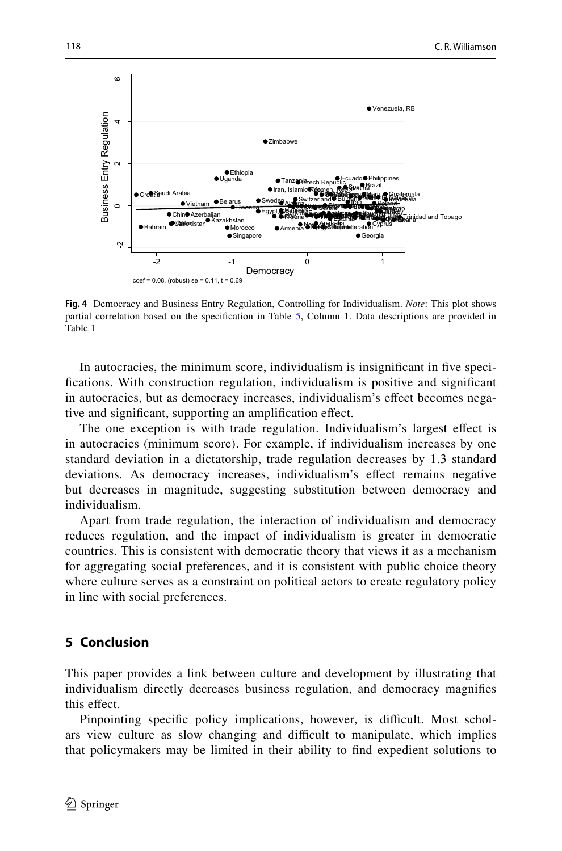

<span id="page-20-0"></span>**Fig. 4** Democracy and Business Entry Regulation, Controlling for Individualism. *Note*: This plot shows partial correlation based on the specifcation in Table [5](#page-19-0), Column 1. Data descriptions are provided in Table [1](#page-9-0)

In autocracies, the minimum score, individualism is insignifcant in fve specifcations. With construction regulation, individualism is positive and signifcant in autocracies, but as democracy increases, individualism's efect becomes negative and signifcant, supporting an amplifcation efect.

The one exception is with trade regulation. Individualism's largest efect is in autocracies (minimum score). For example, if individualism increases by one standard deviation in a dictatorship, trade regulation decreases by 1.3 standard deviations. As democracy increases, individualism's efect remains negative but decreases in magnitude, suggesting substitution between democracy and individualism.

Apart from trade regulation, the interaction of individualism and democracy reduces regulation, and the impact of individualism is greater in democratic countries. This is consistent with democratic theory that views it as a mechanism for aggregating social preferences, and it is consistent with public choice theory where culture serves as a constraint on political actors to create regulatory policy in line with social preferences.

## **5 Conclusion**

This paper provides a link between culture and development by illustrating that individualism directly decreases business regulation, and democracy magnifes this effect.

Pinpointing specific policy implications, however, is difficult. Most scholars view culture as slow changing and difficult to manipulate, which implies that policymakers may be limited in their ability to fnd expedient solutions to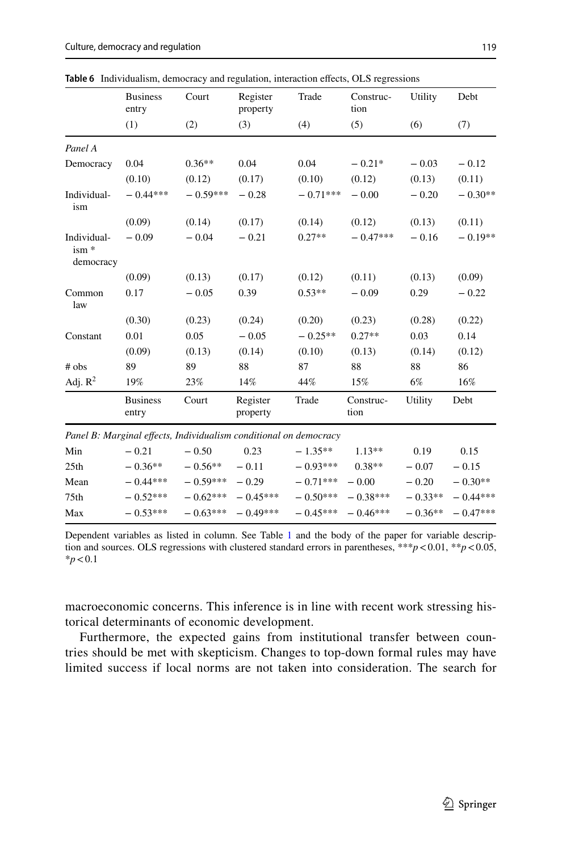|                                   | <b>Business</b><br>entry | Court      | Register<br>property | Trade                                                             | Construc-<br>tion | Utility   | Debt       |
|-----------------------------------|--------------------------|------------|----------------------|-------------------------------------------------------------------|-------------------|-----------|------------|
|                                   | (1)                      | (2)        | (3)                  | (4)                                                               | (5)               | (6)       | (7)        |
| Panel A                           |                          |            |                      |                                                                   |                   |           |            |
| Democracy                         | 0.04                     | $0.36**$   | 0.04                 | 0.04                                                              | $-0.21*$          | $-0.03$   | $-0.12$    |
|                                   | (0.10)                   | (0.12)     | (0.17)               | (0.10)                                                            | (0.12)            | (0.13)    | (0.11)     |
| Individual-<br>ism                | $-0.44***$               | $-0.59***$ | $-0.28$              | $-0.71***$                                                        | $-0.00$           | $-0.20$   | $-0.30**$  |
|                                   | (0.09)                   | (0.14)     | (0.17)               | (0.14)                                                            | (0.12)            | (0.13)    | (0.11)     |
| Individual-<br>ism *<br>democracy | $-0.09$                  | $-0.04$    | $-0.21$              | $0.27**$                                                          | $-0.47***$        | $-0.16$   | $-0.19**$  |
|                                   | (0.09)                   | (0.13)     | (0.17)               | (0.12)                                                            | (0.11)            | (0.13)    | (0.09)     |
| Common<br>law                     | 0.17                     | $-0.05$    | 0.39                 | $0.53**$                                                          | $-0.09$           | 0.29      | $-0.22$    |
|                                   | (0.30)                   | (0.23)     | (0.24)               | (0.20)                                                            | (0.23)            | (0.28)    | (0.22)     |
| Constant                          | 0.01                     | 0.05       | $-0.05$              | $-0.25**$                                                         | $0.27**$          | 0.03      | 0.14       |
|                                   | (0.09)                   | (0.13)     | (0.14)               | (0.10)                                                            | (0.13)            | (0.14)    | (0.12)     |
| # obs                             | 89                       | 89         | 88                   | 87                                                                | 88                | 88        | 86         |
| Adj. $R^2$                        | 19%                      | 23%        | 14%                  | 44%                                                               | 15%               | 6%        | 16%        |
|                                   | <b>Business</b><br>entry | Court      | Register<br>property | Trade                                                             | Construc-<br>tion | Utility   | Debt       |
|                                   |                          |            |                      | Panel B: Marginal effects, Individualism conditional on democracy |                   |           |            |
| Min                               | $-0.21$                  | $-0.50$    | 0.23                 | $-1.35**$                                                         | $1.13**$          | 0.19      | 0.15       |
| 25th                              | $-0.36**$                | $-0.56**$  | $-0.11$              | $-0.93***$                                                        | $0.38**$          | $-0.07$   | $-0.15$    |
| Mean                              | $-0.44***$               | $-0.59***$ | $-0.29$              | $-0.71***$                                                        | $-0.00$           | $-0.20$   | $-0.30**$  |
| 75th                              | $-0.52***$               | $-0.62***$ | $-0.45***$           | $-0.50***$                                                        | $-0.38***$        | $-0.33**$ | $-0.44***$ |
| Max                               | $-0.53***$               | $-0.63***$ | $-0.49***$           | $-0.45***$                                                        | $-0.46***$        | $-0.36**$ | $-0.47***$ |

<span id="page-21-0"></span>**Table 6** Individualism, democracy and regulation, interaction efects, OLS regressions

Dependent variables as listed in column. See Table [1](#page-9-0) and the body of the paper for variable description and sources. OLS regressions with clustered standard errors in parentheses, \*\*\* $p < 0.01$ , \*\* $p < 0.05$ , \**p*<0.1

macroeconomic concerns. This inference is in line with recent work stressing historical determinants of economic development.

Furthermore, the expected gains from institutional transfer between countries should be met with skepticism. Changes to top-down formal rules may have limited success if local norms are not taken into consideration. The search for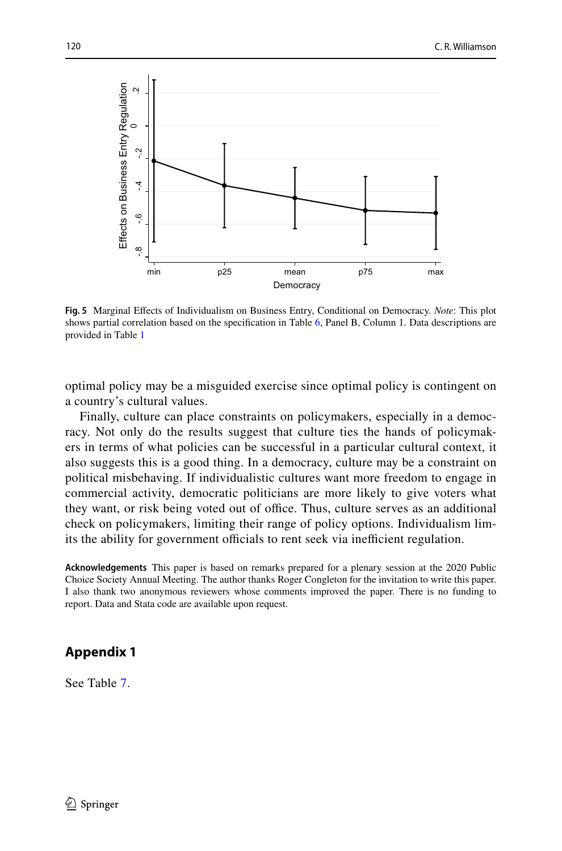

<span id="page-22-1"></span>**Fig. 5** Marginal Efects of Individualism on Business Entry, Conditional on Democracy. *Note*: This plot shows partial correlation based on the specifcation in Table [6](#page-21-0), Panel B, Column 1. Data descriptions are provided in Table [1](#page-9-0)

optimal policy may be a misguided exercise since optimal policy is contingent on a country's cultural values.

Finally, culture can place constraints on policymakers, especially in a democracy. Not only do the results suggest that culture ties the hands of policymakers in terms of what policies can be successful in a particular cultural context, it also suggests this is a good thing. In a democracy, culture may be a constraint on political misbehaving. If individualistic cultures want more freedom to engage in commercial activity, democratic politicians are more likely to give voters what they want, or risk being voted out of office. Thus, culture serves as an additional check on policymakers, limiting their range of policy options. Individualism limits the ability for government officials to rent seek via inefficient regulation.

**Acknowledgements** This paper is based on remarks prepared for a plenary session at the 2020 Public Choice Society Annual Meeting. The author thanks Roger Congleton for the invitation to write this paper. I also thank two anonymous reviewers whose comments improved the paper. There is no funding to report. Data and Stata code are available upon request.

## <span id="page-22-0"></span>**Appendix 1**

See Table [7](#page-23-0).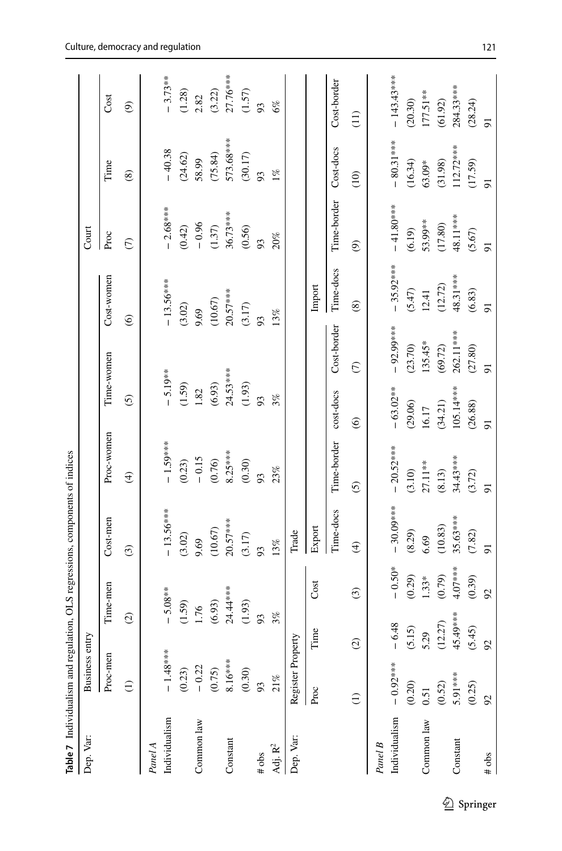| Table 7 Individualism and regulation, OLS regressions, components of indices |                   |               |                 |                 |                 |                 |                 |                 |                 |               |                |
|------------------------------------------------------------------------------|-------------------|---------------|-----------------|-----------------|-----------------|-----------------|-----------------|-----------------|-----------------|---------------|----------------|
| Dep. Var:                                                                    | Business entry    |               |                 |                 |                 |                 |                 |                 | Court           |               |                |
|                                                                              | Proc-men          |               | Time-men        | Cost-men        | Proc-women      | Time-women      |                 | Cost-women      | Proc            | Time          | Cost           |
|                                                                              | $\ominus$         | $\odot$       |                 | $\odot$         | $\bigoplus$     | $\widehat{c}$   |                 | $\circledcirc$  | $\epsilon$      | $\circledast$ | $\circledcirc$ |
| Panel A                                                                      |                   |               |                 |                 |                 |                 |                 |                 |                 |               |                |
| Individualism                                                                | $-1.48***$        |               | $-5.08***$      | $-13.56***$     | $-1.59***$      | $-5.19***$      |                 | $-13.56***$     | $-2.68***$      | $-40.38$      | $-3.73**$      |
|                                                                              | (0.23)            | (1.59)        |                 | (3.02)          | (0.23)          | (1.59)          |                 | $(3.02)$        | $(0.42)$        | (24.62)       | (1.28)         |
| Common law                                                                   | $-0.22$           | 1.76          |                 | 9.69            | $-0.15$         | 1.82            |                 | 9.69            | $-0.96$         | 58.99         | 2.82           |
|                                                                              | (0.75)            | (6.93)        |                 | (10.67)         | (0.76)          | (6.93)          |                 | (10.67)         | $(1.37)$        | (75.84)       | (3.22)         |
| Constant                                                                     | $8.16***$         |               | 24.44****       | $20.57***$      | $8.25***$       | $24.53***$      |                 | $20.57***$      | 36.73***        | 573.68***     | 27.76***       |
|                                                                              | (0.30)            | (1.93)        |                 | $(3.17)$        | $(0.30)$        | (1.93)          |                 | $(3.17)$        | (0.56)          | (30.17)       | $(1.57)$       |
| # obs                                                                        | 93                | 93            |                 | 93              | 93              | 93              |                 | 93              | 93              | 93            | 93             |
| Adj. $\mathbb{R}^2$                                                          | 21%               | 3%            |                 | 13%             | 23%             | 3%              |                 | 13%             | 20%             | $1\%$         | 6%             |
| Dep. Var:                                                                    | Register Property |               |                 | Trade           |                 |                 |                 |                 |                 |               |                |
|                                                                              | Proc              | Time          | Cost            | Export          |                 |                 |                 | Import          |                 |               |                |
|                                                                              |                   |               |                 | Time-docs       | Time-border     | cost-docs       | Cost-border     | Time-docs       | Time-border     | Cost-docs     | Cost-border    |
|                                                                              | $\widehat{\Xi}$   | $\odot$       | $\odot$         | $\bigoplus$     | $\odot$         | $\odot$         | $\widehat{C}$   | $\circledcirc$  | $\odot$         | (10)          | (11)           |
| Panel B                                                                      |                   |               |                 |                 |                 |                 |                 |                 |                 |               |                |
| Individualism                                                                | $-0.92***$        | 6.48          | $-0.50*$        | $-30.09***$     | $-20.52***$     | $-63.02***$     | $-92.99***$     | $-35.92***$     | $-41.80***$     | $-80.31***$   | $-143.43***$   |
|                                                                              | (0.20)            | (5.15)        | (0.29)          | (8.29)          | $(3.10)$        | (29.06)         | (23.70)         | (5.47)          | (6.19)          | (16.34)       | (20.30)        |
| Common law                                                                   | 0.51              | 29<br>ŋ       | $1.33*$         | 6.69            | $27.11***$      | 16.17           | $135.45*$       | 12.41           | 53.99**         | $63.09*$      | $177.51***$    |
|                                                                              | (0.52)            | 12.27         | (0.79)          | (10.83)         | (8.13)          | (34.21)         | (69.72)         | (12.72)         | (17.80)         | (31.98)       | (61.92)        |
| Constant                                                                     | 5.91***           | 45.49***      | $4.07***$       | 35.63***        | 34.43***        | $105.14***$     | 262.11***       | 48.31***        | 48.11***        | $112.72***$   | 284.33***      |
|                                                                              | (0.25)            | (5.45)        | (0.39)          | $(7.82)$        | (3.72)          | (26.88)         | (27.80)         | (6.83)          | (5.67)          | (17.59)       | (28.24)        |
| $#$ obs                                                                      | $\mathcal{S}$     | $\mathcal{S}$ | $\overline{56}$ | $\overline{91}$ | $\overline{91}$ | $\overline{91}$ | $\overline{91}$ | $\overline{91}$ | $\overline{91}$ | 91            | $\overline{5}$ |

<span id="page-23-0"></span> $\underline{\textcircled{\tiny 2}}$  Springer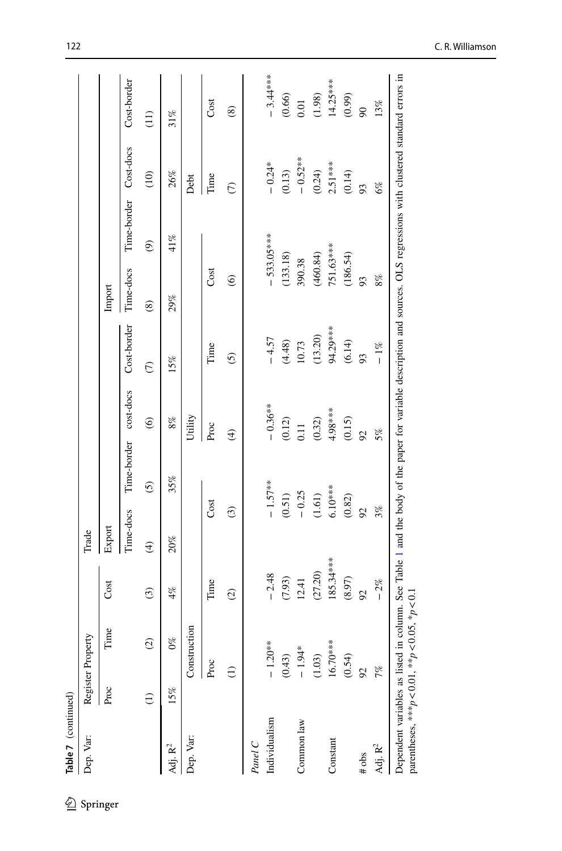| Table 7 (continued)       |      |                                                                                                                                                                                                                                   |           |             |             |                         |               |                   |                |               |                                        |
|---------------------------|------|-----------------------------------------------------------------------------------------------------------------------------------------------------------------------------------------------------------------------------------|-----------|-------------|-------------|-------------------------|---------------|-------------------|----------------|---------------|----------------------------------------|
| Dep. Var:                 |      | Register Property                                                                                                                                                                                                                 |           | Trade       |             |                         |               |                   |                |               |                                        |
|                           | Proc | Time                                                                                                                                                                                                                              | Cost      | Export      |             |                         |               | Import            |                |               |                                        |
|                           |      |                                                                                                                                                                                                                                   |           | Time-docs   | Time-border | cost-docs               | Cost-border   | Time-docs         | Time-border    | Cost-docs     | Cost-border                            |
|                           |      | $\widehat{\Omega}$                                                                                                                                                                                                                | $\odot$   | $\bigoplus$ | $\odot$     | $\odot$                 | $\widehat{C}$ | $\circledast$     | $\circledcirc$ | $\frac{1}{2}$ | $\begin{pmatrix} 1 \\ 2 \end{pmatrix}$ |
| $\text{Adj.}\,\text{R}^2$ | 15%  | уg<br>С                                                                                                                                                                                                                           | $4\%$     | 20%         | 35%         | $8\%$                   | 15%           | 29%               | 41%            | 26%           | 31%                                    |
| Dep. Var:                 |      | Construction                                                                                                                                                                                                                      |           |             |             | Utility                 |               |                   |                | Debt          |                                        |
|                           |      | Proc                                                                                                                                                                                                                              | Time      | Cost        |             | Proc                    | Time          | Cost              |                | Time          | Cost                                   |
|                           |      |                                                                                                                                                                                                                                   | $\odot$   | $\odot$     |             | $\widehat{\mathcal{F}}$ | $\tilde{c}$   | $\widehat{\odot}$ |                | $\widehat{C}$ | $\circledast$                          |
| Panel C                   |      |                                                                                                                                                                                                                                   |           |             |             |                         |               |                   |                |               |                                        |
| Individualism             |      | $-1.20**$                                                                                                                                                                                                                         | $-2.48$   |             | $-1.57***$  | $-0.36***$              | $-4.57$       | $-533.05***$      |                | $-0.24*$      | $-3.44***$                             |
|                           |      | (0.43)                                                                                                                                                                                                                            | (7.93)    | (0.51)      |             | $\left(0.12\right)$     | (4.48)        | (133.18)          |                | (0.13)        | (0.66)                                 |
| Common law                |      | $-1.94*$                                                                                                                                                                                                                          | 12.41     | $-0.25$     |             | 0.11                    | 10.73         | 390.38            |                | $-0.52***$    | $0.01$                                 |
|                           |      | (1.03)                                                                                                                                                                                                                            | (27.20)   | $(1.61)$    |             | (0.32)                  | (13.20)       | (460.84)          |                | (0.24)        | (1.98)                                 |
| Constant                  |      | 16.70***                                                                                                                                                                                                                          | 185.34*** | $6.10***$   |             | $4.98***$               | 94.29***      | 751.63***         |                | $2.51***$     | $14.25***$                             |
|                           |      | (0.54)                                                                                                                                                                                                                            | (8.97)    | (0.82)      |             | $(0.15)$                | (6.14)        | (186.54)          |                | (0.14)        | (0.99)                                 |
| $#$ obs                   |      | 92                                                                                                                                                                                                                                | 92        | 92          |             | 92                      | 93            | 93                |                | 93            | $\infty$                               |
| Adj. $\mathbb{R}^2$       |      | 7%                                                                                                                                                                                                                                | $-2%$     | $3\%$       |             | 5%                      | $-1\%$        | 8%                |                | 6%            | 13%                                    |
|                           |      | Dependent variables as listed in column. See Table 1 and the body of the paper for variable description and sources. OLS regressions with clustered standard errors in<br>parentheses, *** $p$ < 0.01, ** $p$ < 0.05, * $p$ < 0.1 |           |             |             |                         |               |                   |                |               |                                        |

 $\mathcal{L}$  Springer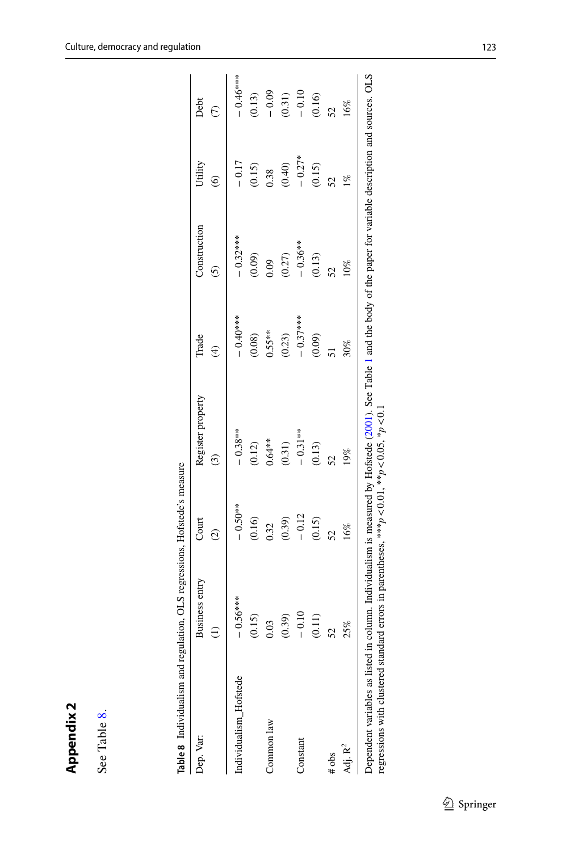| Dep. Var:              | Business entry | Court         | Register property       | Trade         | Construction | Utility                | Debt            |
|------------------------|----------------|---------------|-------------------------|---------------|--------------|------------------------|-----------------|
|                        |                | $\widehat{c}$ | $\widehat{\mathcal{C}}$ | $\widehat{d}$ | <u>ර</u>     | $\widehat{\mathbf{e}}$ | $\widehat{\in}$ |
| Individualism Hofstede | $-0.56***$     | $-0.50**$     | $-0.38***$              | $-0.40$ ***0  | $-0.32***$   | $-0.17$                | $-0.46***$      |
|                        | (0.15)         | (0.16)        | (0.12)                  | (0.08)        | (0.09)       | (0.15)                 | (0.13)          |
| Common law             | 0.03           | 0.32          | $0.64**$                | $0.55**$      | 0.09         | 0.38                   | $-0.09$         |
|                        | (0.39)         | (0.39)        | (0.31)                  | (0.23)        | (0.27)       | (0.40)                 | (0.31)          |
| Constant               | $-0.10$        | $-0.12$       | $-0.31**$               | $-0.37***$    | $-0.36***$   | $-0.27*$               | $-0.10$         |
|                        | (0.11)         | (0.15)        | (0.13)                  | (0.09)        | (0.13)       | (0.15)                 | (0.16)          |
| $#$ obs                |                | 52            | 52                      |               | 52           | 52                     | 52              |
| Adj. R <sup>2</sup>    | 25%            | 16%           | 19%                     | 30%           | $10\%$       | $1\%$                  | 16%             |

**Appendix 2**

<span id="page-25-0"></span>Appendix 2

<span id="page-25-1"></span>See Table [8](#page-25-1).

See Table 8.

 $\underline{\textcircled{\tiny 2}}$  Springer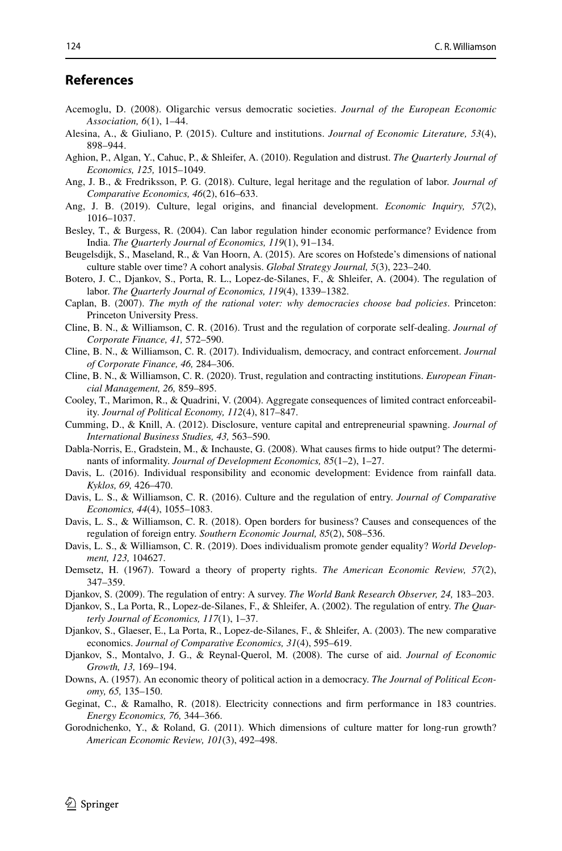## **References**

- <span id="page-26-23"></span>Acemoglu, D. (2008). Oligarchic versus democratic societies. *Journal of the European Economic Association, 6*(1), 1–44.
- <span id="page-26-21"></span>Alesina, A., & Giuliano, P. (2015). Culture and institutions. *Journal of Economic Literature, 53*(4), 898–944.
- <span id="page-26-25"></span>Aghion, P., Algan, Y., Cahuc, P., & Shleifer, A. (2010). Regulation and distrust. *The Quarterly Journal of Economics, 125,* 1015–1049.
- <span id="page-26-14"></span>Ang, J. B., & Fredriksson, P. G. (2018). Culture, legal heritage and the regulation of labor. *Journal of Comparative Economics, 46*(2), 616–633.
- <span id="page-26-16"></span>Ang, J. B. (2019). Culture, legal origins, and fnancial development. *Economic Inquiry, 57*(2), 1016–1037.
- <span id="page-26-8"></span>Besley, T., & Burgess, R. (2004). Can labor regulation hinder economic performance? Evidence from India. *The Quarterly Journal of Economics, 119*(1), 91–134.
- <span id="page-26-18"></span>Beugelsdijk, S., Maseland, R., & Van Hoorn, A. (2015). Are scores on Hofstede's dimensions of national culture stable over time? A cohort analysis. *Global Strategy Journal, 5*(3), 223–240.
- <span id="page-26-9"></span>Botero, J. C., Djankov, S., Porta, R. L., Lopez-de-Silanes, F., & Shleifer, A. (2004). The regulation of labor. *The Quarterly Journal of Economics, 119*(4), 1339–1382.
- <span id="page-26-17"></span>Caplan, B. (2007). *The myth of the rational voter: why democracies choose bad policies*. Princeton: Princeton University Press.
- <span id="page-26-10"></span>Cline, B. N., & Williamson, C. R. (2016). Trust and the regulation of corporate self-dealing. *Journal of Corporate Finance, 41,* 572–590.
- <span id="page-26-11"></span>Cline, B. N., & Williamson, C. R. (2017). Individualism, democracy, and contract enforcement. *Journal of Corporate Finance, 46,* 284–306.
- <span id="page-26-26"></span>Cline, B. N., & Williamson, C. R. (2020). Trust, regulation and contracting institutions. *European Financial Management, 26,* 859–895.
- <span id="page-26-3"></span>Cooley, T., Marimon, R., & Quadrini, V. (2004). Aggregate consequences of limited contract enforceability. *Journal of Political Economy, 112*(4), 817–847.
- <span id="page-26-4"></span>Cumming, D., & Knill, A. (2012). Disclosure, venture capital and entrepreneurial spawning. *Journal of International Business Studies, 43,* 563–590.
- <span id="page-26-2"></span>Dabla-Norris, E., Gradstein, M., & Inchauste, G. (2008). What causes frms to hide output? The determinants of informality. *Journal of Development Economics, 85*(1–2), 1–27.
- <span id="page-26-19"></span>Davis, L. (2016). Individual responsibility and economic development: Evidence from rainfall data. *Kyklos, 69,* 426–470.
- <span id="page-26-12"></span>Davis, L. S., & Williamson, C. R. (2016). Culture and the regulation of entry. *Journal of Comparative Economics, 44*(4), 1055–1083.
- <span id="page-26-13"></span>Davis, L. S., & Williamson, C. R. (2018). Open borders for business? Causes and consequences of the regulation of foreign entry. *Southern Economic Journal, 85*(2), 508–536.
- <span id="page-26-20"></span>Davis, L. S., & Williamson, C. R. (2019). Does individualism promote gender equality? *World Development, 123,* 104627.
- <span id="page-26-24"></span>Demsetz, H. (1967). Toward a theory of property rights. *The American Economic Review, 57*(2), 347–359.
- <span id="page-26-1"></span>Djankov, S. (2009). The regulation of entry: A survey. *The World Bank Research Observer, 24,* 183–203.
- <span id="page-26-0"></span>Djankov, S., La Porta, R., Lopez-de-Silanes, F., & Shleifer, A. (2002). The regulation of entry. *The Quarterly Journal of Economics, 117*(1), 1–37.
- <span id="page-26-7"></span>Djankov, S., Glaeser, E., La Porta, R., Lopez-de-Silanes, F., & Shleifer, A. (2003). The new comparative economics. *Journal of Comparative Economics, 31*(4), 595–619.
- <span id="page-26-5"></span>Djankov, S., Montalvo, J. G., & Reynal-Querol, M. (2008). The curse of aid. *Journal of Economic Growth, 13,* 169–194.
- <span id="page-26-22"></span>Downs, A. (1957). An economic theory of political action in a democracy. *The Journal of Political Economy, 65,* 135–150.
- <span id="page-26-6"></span>Geginat, C., & Ramalho, R. (2018). Electricity connections and frm performance in 183 countries. *Energy Economics, 76,* 344–366.
- <span id="page-26-15"></span>Gorodnichenko, Y., & Roland, G. (2011). Which dimensions of culture matter for long-run growth? *American Economic Review, 101*(3), 492–498.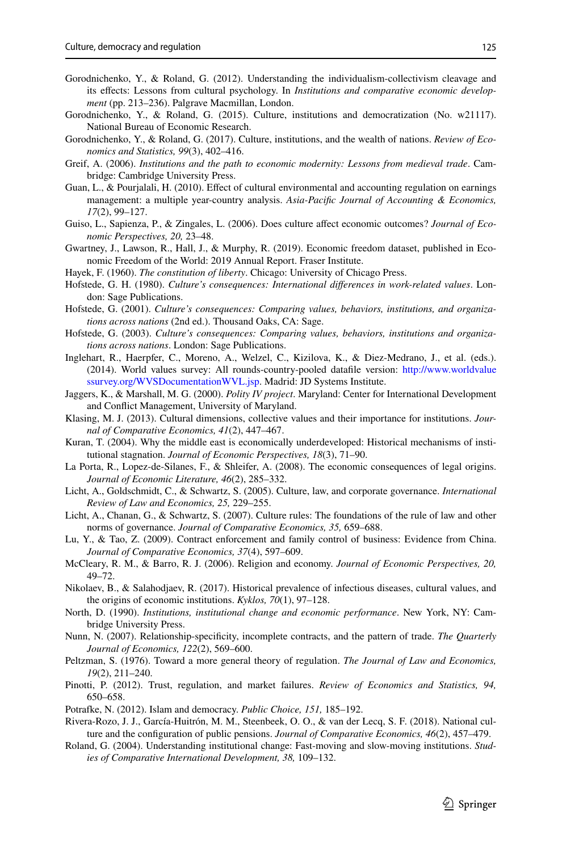- <span id="page-27-4"></span>Gorodnichenko, Y., & Roland, G. (2012). Understanding the individualism-collectivism cleavage and its efects: Lessons from cultural psychology. In *Institutions and comparative economic development* (pp. 213–236). Palgrave Macmillan, London.
- <span id="page-27-10"></span>Gorodnichenko, Y., & Roland, G. (2015). Culture, institutions and democratization (No. w21117). National Bureau of Economic Research.
- <span id="page-27-12"></span>Gorodnichenko, Y., & Roland, G. (2017). Culture, institutions, and the wealth of nations. *Review of Economics and Statistics, 99*(3), 402–416.
- <span id="page-27-20"></span>Greif, A. (2006). *Institutions and the path to economic modernity: Lessons from medieval trade*. Cambridge: Cambridge University Press.
- <span id="page-27-5"></span>Guan, L., & Pourjalali, H. (2010). Efect of cultural environmental and accounting regulation on earnings management: a multiple year-country analysis. *Asia-Pacifc Journal of Accounting & Economics, 17*(2), 99–127.
- <span id="page-27-3"></span>Guiso, L., Sapienza, P., & Zingales, L. (2006). Does culture affect economic outcomes? *Journal of Economic Perspectives, 20,* 23–48.
- <span id="page-27-13"></span>Gwartney, J., Lawson, R., Hall, J., & Murphy, R. (2019). Economic freedom dataset, published in Economic Freedom of the World: 2019 Annual Report. Fraser Institute.
- <span id="page-27-19"></span>Hayek, F. (1960). *The constitution of liberty*. Chicago: University of Chicago Press.
- <span id="page-27-14"></span>Hofstede, G. H. (1980). *Culture's consequences: International diferences in work-related values*. London: Sage Publications.
- <span id="page-27-11"></span>Hofstede, G. (2001). *Culture's consequences: Comparing values, behaviors, institutions, and organizations across nations* (2nd ed.). Thousand Oaks, CA: Sage.
- <span id="page-27-15"></span>Hofstede, G. (2003). *Culture's consequences: Comparing values, behaviors, institutions and organizations across nations*. London: Sage Publications.
- <span id="page-27-21"></span>Inglehart, R., Haerpfer, C., Moreno, A., Welzel, C., Kizilova, K., & Diez-Medrano, J., et al. (eds.). (2014). World values survey: All rounds-country-pooled datafle version: [http://www.worldvalue](http://www.worldvaluessurvey.org/WVSDocumentationWVL.jsp) [ssurvey.org/WVSDocumentationWVL.jsp.](http://www.worldvaluessurvey.org/WVSDocumentationWVL.jsp) Madrid: JD Systems Institute.
- <span id="page-27-22"></span>Jaggers, K., & Marshall, M. G. (2000). *Polity IV project*. Maryland: Center for International Development and Confict Management, University of Maryland.
- <span id="page-27-9"></span>Klasing, M. J. (2013). Cultural dimensions, collective values and their importance for institutions. *Journal of Comparative Economics, 41*(2), 447–467.
- <span id="page-27-25"></span>Kuran, T. (2004). Why the middle east is economically underdeveloped: Historical mechanisms of institutional stagnation. *Journal of Economic Perspectives, 18*(3), 71–90.
- <span id="page-27-23"></span>La Porta, R., Lopez-de-Silanes, F., & Shleifer, A. (2008). The economic consequences of legal origins. *Journal of Economic Literature, 46*(2), 285–332.
- <span id="page-27-18"></span>Licht, A., Goldschmidt, C., & Schwartz, S. (2005). Culture, law, and corporate governance. *International Review of Law and Economics, 25,* 229–255.
- <span id="page-27-8"></span>Licht, A., Chanan, G., & Schwartz, S. (2007). Culture rules: The foundations of the rule of law and other norms of governance. *Journal of Comparative Economics, 35,* 659–688.
- <span id="page-27-0"></span>Lu, Y., & Tao, Z. (2009). Contract enforcement and family control of business: Evidence from China. *Journal of Comparative Economics, 37*(4), 597–609.
- <span id="page-27-24"></span>McCleary, R. M., & Barro, R. J. (2006). Religion and economy. *Journal of Economic Perspectives, 20,* 49–72.
- <span id="page-27-7"></span>Nikolaev, B., & Salahodjaev, R. (2017). Historical prevalence of infectious diseases, cultural values, and the origins of economic institutions. *Kyklos, 70*(1), 97–128.
- <span id="page-27-16"></span>North, D. (1990). *Institutions, institutional change and economic performance*. New York, NY: Cambridge University Press.
- <span id="page-27-1"></span>Nunn, N. (2007). Relationship-specifcity, incomplete contracts, and the pattern of trade. *The Quarterly Journal of Economics, 122*(2), 569–600.
- <span id="page-27-2"></span>Peltzman, S. (1976). Toward a more general theory of regulation. *The Journal of Law and Economics, 19*(2), 211–240.
- <span id="page-27-27"></span>Pinotti, P. (2012). Trust, regulation, and market failures. *Review of Economics and Statistics, 94,* 650–658.
- <span id="page-27-26"></span>Potrafke, N. (2012). Islam and democracy. *Public Choice, 151,* 185–192.
- <span id="page-27-6"></span>Rivera-Rozo, J. J., García-Huitrón, M. M., Steenbeek, O. O., & van der Lecq, S. F. (2018). National culture and the confguration of public pensions. *Journal of Comparative Economics, 46*(2), 457–479.
- <span id="page-27-17"></span>Roland, G. (2004). Understanding institutional change: Fast-moving and slow-moving institutions. *Studies of Comparative International Development, 38,* 109–132.